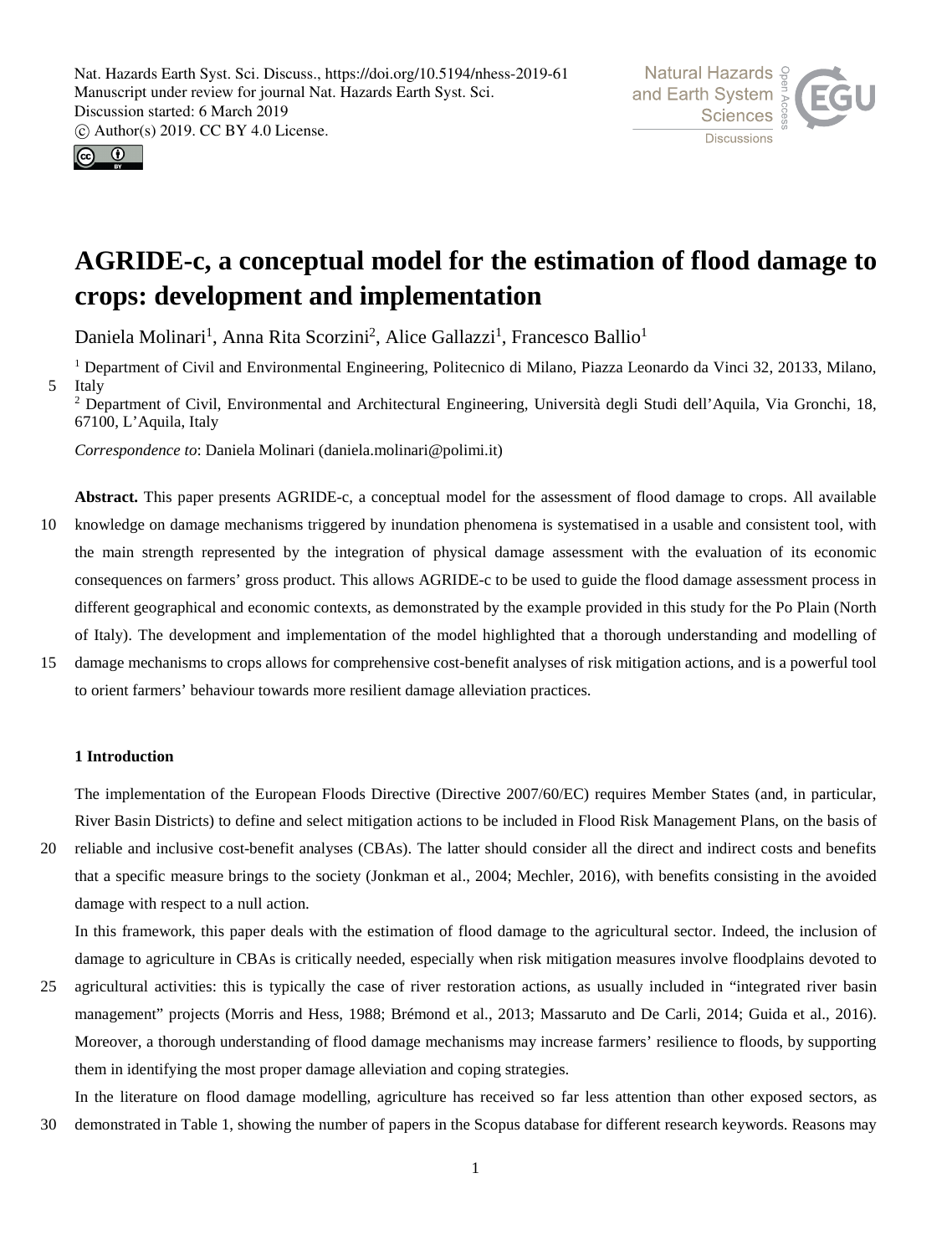



# **AGRIDE-c, a conceptual model for the estimation of flood damage to crops: development and implementation**

Daniela Molinari<sup>1</sup>, Anna Rita Scorzini<sup>2</sup>, Alice Gallazzi<sup>1</sup>, Francesco Ballio<sup>1</sup>

<sup>1</sup> Department of Civil and Environmental Engineering, Politecnico di Milano, Piazza Leonardo da Vinci 32, 20133, Milano, 5 Italy

<sup>2</sup> Department of Civil, Environmental and Architectural Engineering, Università degli Studi dell'Aquila, Via Gronchi, 18, 67100, L'Aquila, Italy

*Correspondence to*: Daniela Molinari (daniela.molinari@polimi.it)

**Abstract.** This paper presents AGRIDE-c, a conceptual model for the assessment of flood damage to crops. All available 10 knowledge on damage mechanisms triggered by inundation phenomena is systematised in a usable and consistent tool, with the main strength represented by the integration of physical damage assessment with the evaluation of its economic consequences on farmers' gross product. This allows AGRIDE-c to be used to guide the flood damage assessment process in different geographical and economic contexts, as demonstrated by the example provided in this study for the Po Plain (North of Italy). The development and implementation of the model highlighted that a thorough understanding and modelling of

15 damage mechanisms to crops allows for comprehensive cost-benefit analyses of risk mitigation actions, and is a powerful tool to orient farmers' behaviour towards more resilient damage alleviation practices.

## **1 Introduction**

The implementation of the European Floods Directive (Directive 2007/60/EC) requires Member States (and, in particular, River Basin Districts) to define and select mitigation actions to be included in Flood Risk Management Plans, on the basis of

20 reliable and inclusive cost-benefit analyses (CBAs). The latter should consider all the direct and indirect costs and benefits that a specific measure brings to the society (Jonkman et al., 2004; Mechler, 2016), with benefits consisting in the avoided damage with respect to a null action.

In this framework, this paper deals with the estimation of flood damage to the agricultural sector. Indeed, the inclusion of damage to agriculture in CBAs is critically needed, especially when risk mitigation measures involve floodplains devoted to

25 agricultural activities: this is typically the case of river restoration actions, as usually included in "integrated river basin management" projects (Morris and Hess, 1988; Brémond et al., 2013; Massaruto and De Carli, 2014; Guida et al., 2016). Moreover, a thorough understanding of flood damage mechanisms may increase farmers' resilience to floods, by supporting them in identifying the most proper damage alleviation and coping strategies.

In the literature on flood damage modelling, agriculture has received so far less attention than other exposed sectors, as 30 demonstrated in Table 1, showing the number of papers in the Scopus database for different research keywords. Reasons may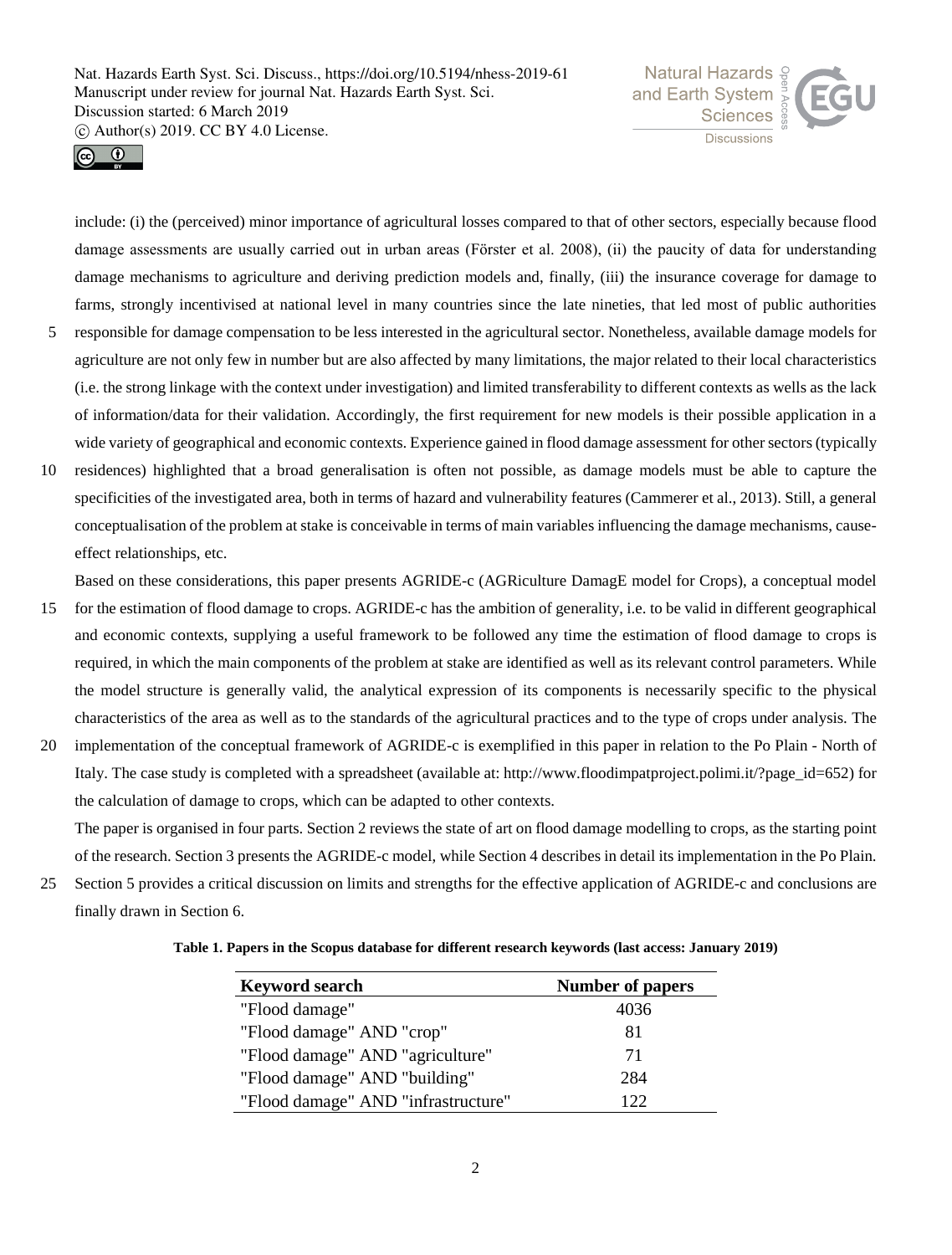



include: (i) the (perceived) minor importance of agricultural losses compared to that of other sectors, especially because flood damage assessments are usually carried out in urban areas (Fӧrster et al. 2008), (ii) the paucity of data for understanding damage mechanisms to agriculture and deriving prediction models and, finally, (iii) the insurance coverage for damage to farms, strongly incentivised at national level in many countries since the late nineties, that led most of public authorities

- 5 responsible for damage compensation to be less interested in the agricultural sector. Nonetheless, available damage models for agriculture are not only few in number but are also affected by many limitations, the major related to their local characteristics (i.e. the strong linkage with the context under investigation) and limited transferability to different contexts as wells as the lack of information/data for their validation. Accordingly, the first requirement for new models is their possible application in a wide variety of geographical and economic contexts. Experience gained in flood damage assessment for other sectors (typically
- 10 residences) highlighted that a broad generalisation is often not possible, as damage models must be able to capture the specificities of the investigated area, both in terms of hazard and vulnerability features (Cammerer et al., 2013). Still, a general conceptualisation of the problem at stake is conceivable in terms of main variables influencing the damage mechanisms, causeeffect relationships, etc.

Based on these considerations, this paper presents AGRIDE-c (AGRiculture DamagE model for Crops), a conceptual model

- 15 for the estimation of flood damage to crops. AGRIDE-c has the ambition of generality, i.e. to be valid in different geographical and economic contexts, supplying a useful framework to be followed any time the estimation of flood damage to crops is required, in which the main components of the problem at stake are identified as well as its relevant control parameters. While the model structure is generally valid, the analytical expression of its components is necessarily specific to the physical characteristics of the area as well as to the standards of the agricultural practices and to the type of crops under analysis. The
- 20 implementation of the conceptual framework of AGRIDE-c is exemplified in this paper in relation to the Po Plain North of Italy. The case study is completed with a spreadsheet (available at: http://www.floodimpatproject.polimi.it/?page\_id=652) for the calculation of damage to crops, which can be adapted to other contexts.

The paper is organised in four parts. Section 2 reviews the state of art on flood damage modelling to crops, as the starting point of the research. Section 3 presents the AGRIDE-c model, while Section 4 describes in detail its implementation in the Po Plain.

25 Section 5 provides a critical discussion on limits and strengths for the effective application of AGRIDE-c and conclusions are finally drawn in Section 6.

| Table 1. Papers in the Scopus database for different research keywords (last access: January 2019) |
|----------------------------------------------------------------------------------------------------|
|----------------------------------------------------------------------------------------------------|

| <b>Keyword search</b>               | <b>Number of papers</b> |
|-------------------------------------|-------------------------|
| "Flood damage"                      | 4036                    |
| "Flood damage" AND "crop"           | 81                      |
| "Flood damage" AND "agriculture"    | 71                      |
| "Flood damage" AND "building"       | 284                     |
| "Flood damage" AND "infrastructure" | 122                     |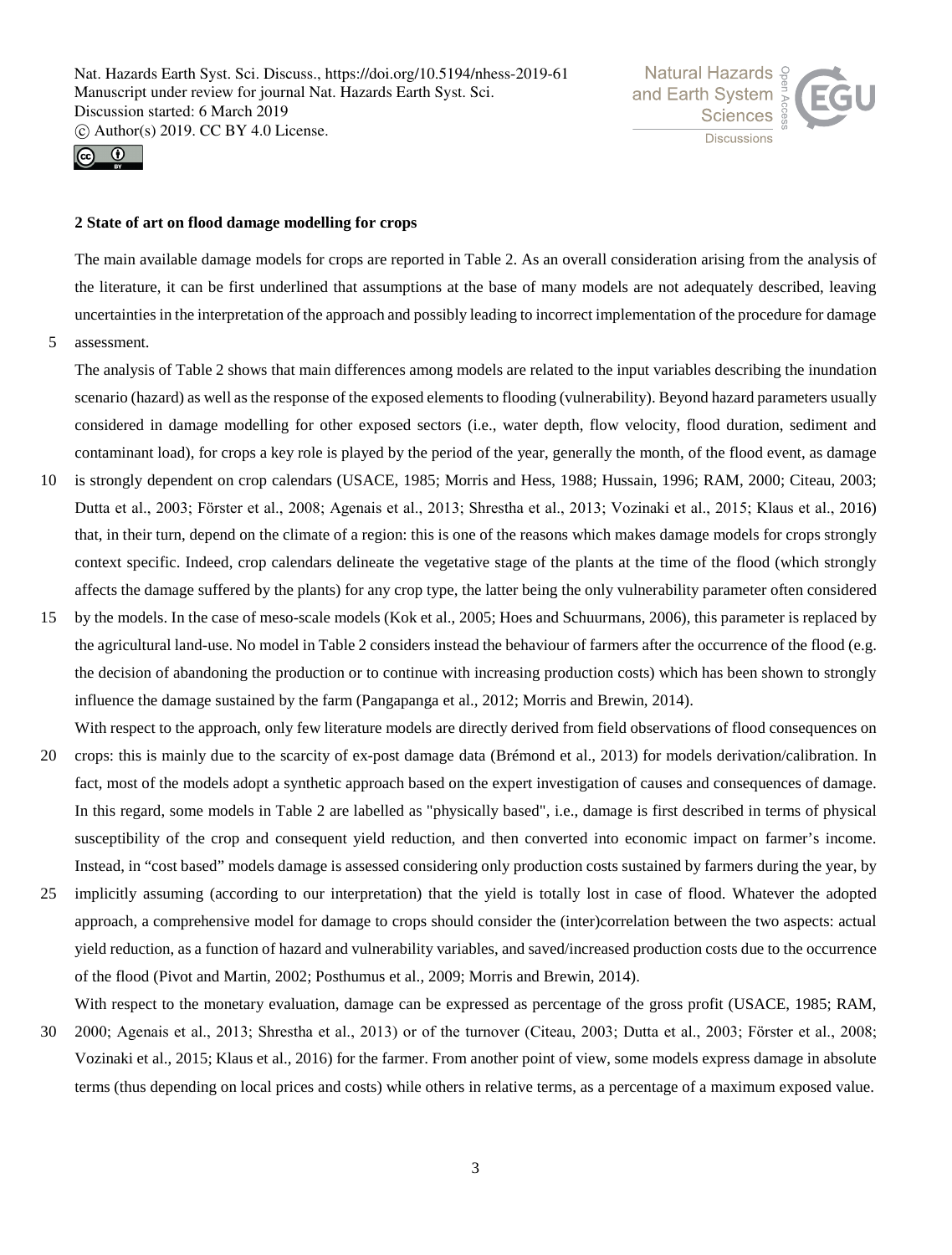



## **2 State of art on flood damage modelling for crops**

The main available damage models for crops are reported in Table 2. As an overall consideration arising from the analysis of the literature, it can be first underlined that assumptions at the base of many models are not adequately described, leaving uncertainties in the interpretation of the approach and possibly leading to incorrect implementation of the procedure for damage

5 assessment.

The analysis of Table 2 shows that main differences among models are related to the input variables describing the inundation scenario (hazard) as well as the response of the exposed elements to flooding (vulnerability). Beyond hazard parameters usually considered in damage modelling for other exposed sectors (i.e., water depth, flow velocity, flood duration, sediment and contaminant load), for crops a key role is played by the period of the year, generally the month, of the flood event, as damage

- 10 is strongly dependent on crop calendars (USACE, 1985; Morris and Hess, 1988; Hussain, 1996; RAM, 2000; Citeau, 2003; Dutta et al., 2003; Fӧrster et al., 2008; Agenais et al., 2013; Shrestha et al., 2013; Vozinaki et al., 2015; Klaus et al., 2016) that, in their turn, depend on the climate of a region: this is one of the reasons which makes damage models for crops strongly context specific. Indeed, crop calendars delineate the vegetative stage of the plants at the time of the flood (which strongly affects the damage suffered by the plants) for any crop type, the latter being the only vulnerability parameter often considered
- 15 by the models. In the case of meso-scale models (Kok et al., 2005; Hoes and Schuurmans, 2006), this parameter is replaced by the agricultural land-use. No model in Table 2 considers instead the behaviour of farmers after the occurrence of the flood (e.g. the decision of abandoning the production or to continue with increasing production costs) which has been shown to strongly influence the damage sustained by the farm (Pangapanga et al., 2012; Morris and Brewin, 2014). With respect to the approach, only few literature models are directly derived from field observations of flood consequences on
- 20 crops: this is mainly due to the scarcity of ex-post damage data (Brémond et al., 2013) for models derivation/calibration. In fact, most of the models adopt a synthetic approach based on the expert investigation of causes and consequences of damage. In this regard, some models in Table 2 are labelled as "physically based", i.e., damage is first described in terms of physical susceptibility of the crop and consequent yield reduction, and then converted into economic impact on farmer's income. Instead, in "cost based" models damage is assessed considering only production costs sustained by farmers during the year, by
- 25 implicitly assuming (according to our interpretation) that the yield is totally lost in case of flood. Whatever the adopted approach, a comprehensive model for damage to crops should consider the (inter)correlation between the two aspects: actual yield reduction, as a function of hazard and vulnerability variables, and saved/increased production costs due to the occurrence of the flood (Pivot and Martin, 2002; Posthumus et al., 2009; Morris and Brewin, 2014).

With respect to the monetary evaluation, damage can be expressed as percentage of the gross profit (USACE, 1985; RAM,

30 2000; Agenais et al., 2013; Shrestha et al., 2013) or of the turnover (Citeau, 2003; Dutta et al., 2003; Fӧrster et al., 2008; Vozinaki et al., 2015; Klaus et al., 2016) for the farmer. From another point of view, some models express damage in absolute terms (thus depending on local prices and costs) while others in relative terms, as a percentage of a maximum exposed value.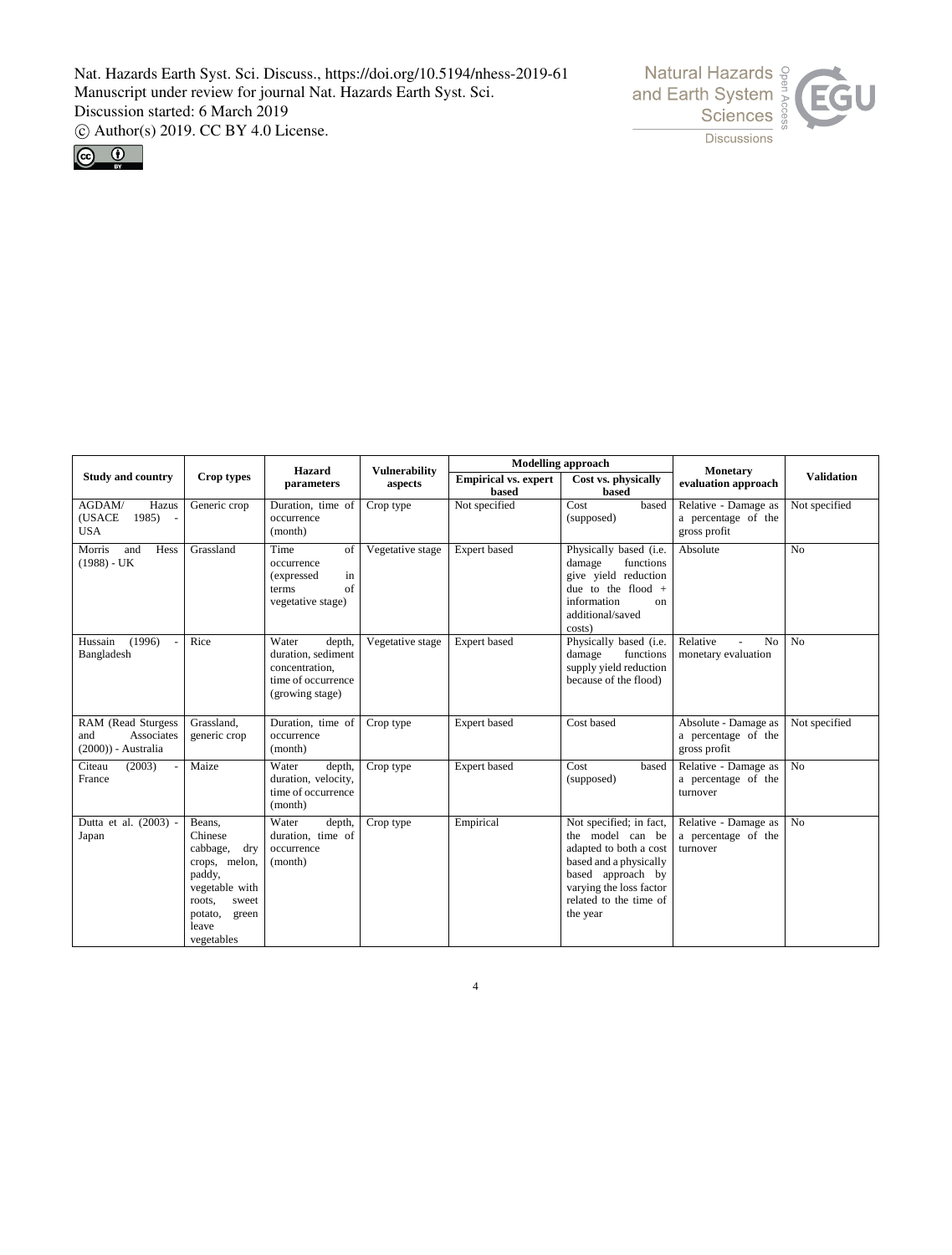



|                                                                |                                                                                                                                                 | <b>Hazard</b>                                                                                    | <b>Vulnerability</b> |                                      | <b>Modelling approach</b>                                                                                                                                                             | <b>Monetary</b>                                             |                   |  |  |
|----------------------------------------------------------------|-------------------------------------------------------------------------------------------------------------------------------------------------|--------------------------------------------------------------------------------------------------|----------------------|--------------------------------------|---------------------------------------------------------------------------------------------------------------------------------------------------------------------------------------|-------------------------------------------------------------|-------------------|--|--|
| <b>Study and country</b>                                       | Crop types                                                                                                                                      | parameters                                                                                       | aspects              | <b>Empirical vs. expert</b><br>based | Cost vs. physically<br>based                                                                                                                                                          | evaluation approach                                         | <b>Validation</b> |  |  |
| AGDAM/<br>Hazus<br>(USACE<br>1985<br><b>USA</b>                | Generic crop                                                                                                                                    | Duration, time of<br>occurrence<br>(month)                                                       | Crop type            | Not specified                        | Cost<br>based<br>(supposed)                                                                                                                                                           | Relative - Damage as<br>a percentage of the<br>gross profit | Not specified     |  |  |
| Morris<br>and<br>Hess<br>$(1988) - UK$                         | Grassland                                                                                                                                       | Time<br>οf<br>occurrence<br>in<br>(expressed<br>of<br>terms<br>vegetative stage)                 | Vegetative stage     | Expert based                         | Physically based (i.e.<br>functions<br>damage<br>give yield reduction<br>due to the flood $+$<br>information<br>on<br>additional/saved<br>costs)                                      | Absolute                                                    | No                |  |  |
| (1996)<br>Hussain<br>$\overline{a}$<br>Bangladesh              | Rice                                                                                                                                            | Water<br>depth,<br>duration, sediment<br>concentration,<br>time of occurrence<br>(growing stage) | Vegetative stage     | Expert based                         | Physically based (i.e.<br>functions<br>damage<br>supply yield reduction<br>because of the flood)                                                                                      | Relative<br>N <sub>o</sub><br>monetary evaluation           | No                |  |  |
| RAM (Read Sturgess<br>Associates<br>and<br>(2000)) - Australia | Grassland.<br>generic crop                                                                                                                      | Duration, time of<br>occurrence<br>(month)                                                       | Crop type            | Expert based                         | Cost based                                                                                                                                                                            | Absolute - Damage as<br>a percentage of the<br>gross profit | Not specified     |  |  |
| (2003)<br>Citeau<br>$\overline{\phantom{a}}$<br>France         | Maize                                                                                                                                           | Water<br>depth,<br>duration, velocity,<br>time of occurrence<br>(month)                          | Crop type            | Expert based                         | Cost<br>based<br>(supposed)                                                                                                                                                           | Relative - Damage as<br>a percentage of the<br>turnover     | N <sub>o</sub>    |  |  |
| Dutta et al. (2003) -<br>Japan                                 | Beans,<br>Chinese<br>cabbage,<br>dry<br>crops, melon,<br>paddy,<br>vegetable with<br>roots,<br>sweet<br>potato,<br>green<br>leave<br>vegetables | Water<br>depth,<br>duration, time of<br>occurrence<br>(month)                                    | Crop type            | Empirical                            | Not specified; in fact,<br>the model can be<br>adapted to both a cost<br>based and a physically<br>based approach by<br>varying the loss factor<br>related to the time of<br>the year | Relative - Damage as<br>a percentage of the<br>turnover     | No                |  |  |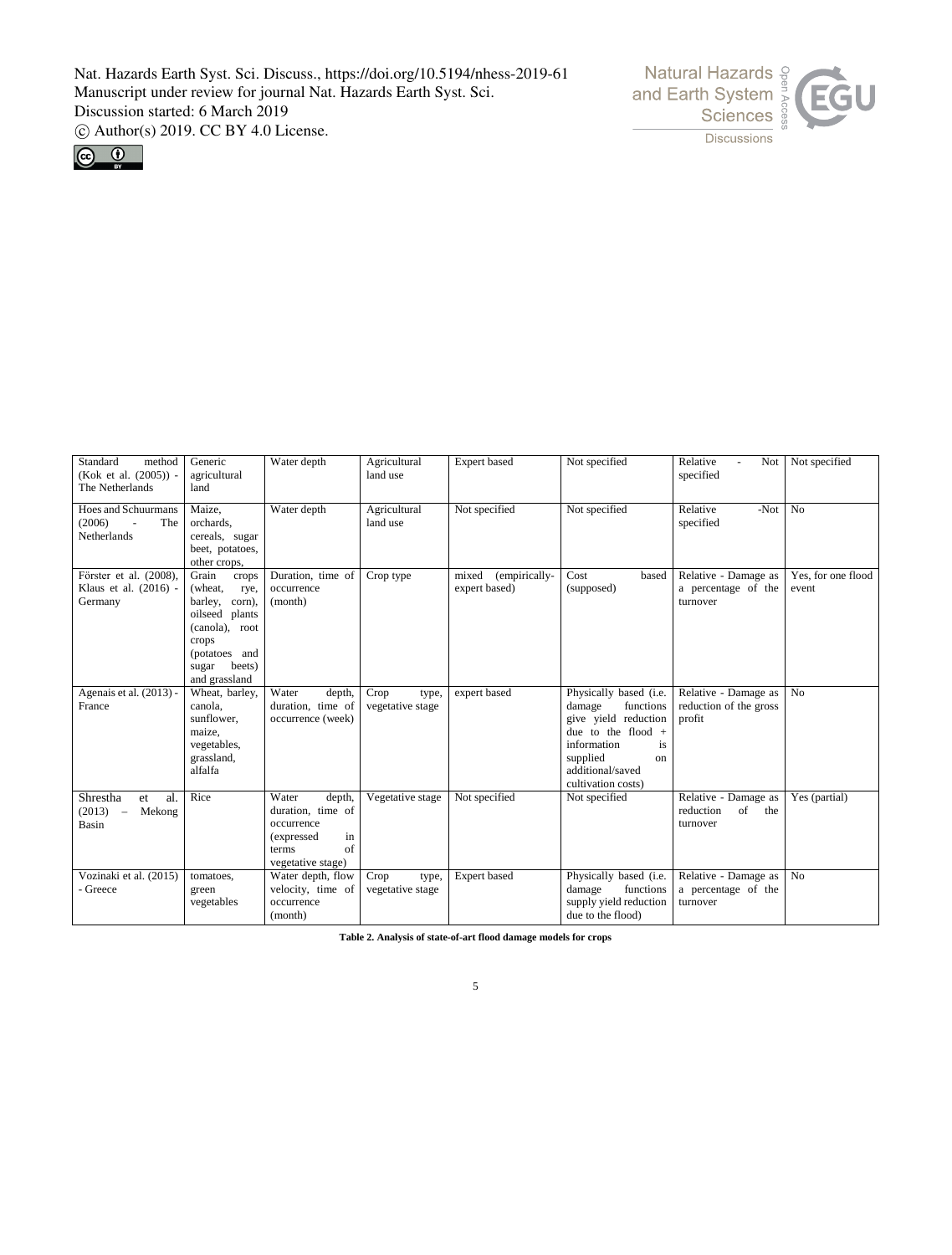



| Standard<br>method<br>(Kok et al. (2005)) -<br>The Netherlands                 | Generic<br>agricultural<br>land                                                                                                                          | Water depth                                                                                                | Agricultural<br>land use          | Expert based                            | Not specified                                                                                                                                                                  | Relative<br>Not<br>specified                               | Not specified               |
|--------------------------------------------------------------------------------|----------------------------------------------------------------------------------------------------------------------------------------------------------|------------------------------------------------------------------------------------------------------------|-----------------------------------|-----------------------------------------|--------------------------------------------------------------------------------------------------------------------------------------------------------------------------------|------------------------------------------------------------|-----------------------------|
| <b>Hoes and Schuurmans</b><br>(2006)<br>The<br>Netherlands                     | Maize.<br>orchards,<br>cereals, sugar<br>beet, potatoes,<br>other crops,                                                                                 | Water depth                                                                                                | Agricultural<br>land use          | Not specified                           | Not specified                                                                                                                                                                  | Relative<br>$-Not$<br>specified                            | N <sub>o</sub>              |
| Förster et al. (2008),<br>Klaus et al. (2016) -<br>Germany                     | Grain<br>crops<br>(wheat,<br>rye,<br>barley,<br>corn),<br>oilseed plants<br>(canola), root<br>crops<br>(potatoes and<br>beets)<br>sugar<br>and grassland | Duration, time of<br>occurrence<br>(month)                                                                 | Crop type                         | (empirically-<br>mixed<br>expert based) | Cost<br>based<br>(supposed)                                                                                                                                                    | Relative - Damage as<br>a percentage of the<br>turnover    | Yes, for one flood<br>event |
| Agenais et al. (2013) -<br>France                                              | Wheat, barley,<br>canola,<br>sunflower.<br>maize,<br>vegetables,<br>grassland,<br>alfalfa                                                                | Water<br>depth,<br>duration, time of<br>occurrence (week)                                                  | Crop<br>type,<br>vegetative stage | expert based                            | Physically based (i.e.<br>functions<br>damage<br>give yield reduction<br>due to the flood $+$<br>information<br>is<br>supplied<br>on<br>additional/saved<br>cultivation costs) | Relative - Damage as<br>reduction of the gross<br>profit   | N <sub>0</sub>              |
| Shrestha<br>al.<br>et<br>(2013)<br>Mekong<br>$\overline{\phantom{a}}$<br>Basin | Rice                                                                                                                                                     | Water<br>depth,<br>duration, time of<br>occurrence<br>(expressed<br>in<br>of<br>terms<br>vegetative stage) | Vegetative stage                  | Not specified                           | Not specified                                                                                                                                                                  | Relative - Damage as<br>reduction<br>of<br>the<br>turnover | Yes (partial)               |
| Vozinaki et al. (2015)<br>- Greece                                             | tomatoes,<br>green<br>vegetables                                                                                                                         | Water depth, flow<br>velocity, time of<br>occurrence<br>(month)                                            | Crop<br>type,<br>vegetative stage | Expert based                            | Physically based (i.e.<br>damage<br>functions<br>supply yield reduction<br>due to the flood)                                                                                   | Relative - Damage as<br>a percentage of the<br>turnover    | No                          |

**Table 2. Analysis of state-of-art flood damage models for crops**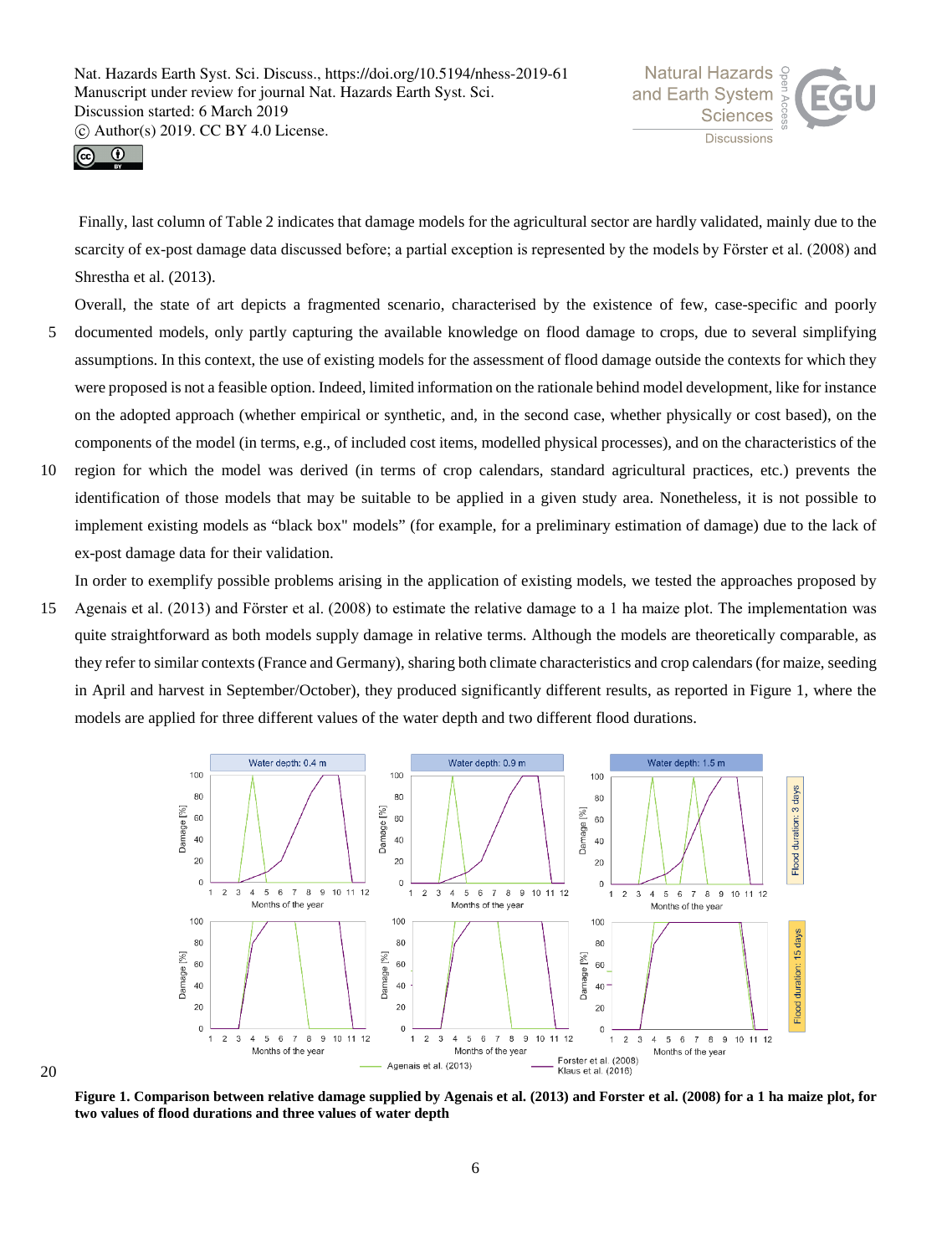



Finally, last column of Table 2 indicates that damage models for the agricultural sector are hardly validated, mainly due to the scarcity of ex-post damage data discussed before; a partial exception is represented by the models by Förster et al. (2008) and Shrestha et al. (2013).

Overall, the state of art depicts a fragmented scenario, characterised by the existence of few, case-specific and poorly

- 5 documented models, only partly capturing the available knowledge on flood damage to crops, due to several simplifying assumptions. In this context, the use of existing models for the assessment of flood damage outside the contexts for which they were proposed is not a feasible option. Indeed, limited information on the rationale behind model development, like for instance on the adopted approach (whether empirical or synthetic, and, in the second case, whether physically or cost based), on the components of the model (in terms, e.g., of included cost items, modelled physical processes), and on the characteristics of the
- 10 region for which the model was derived (in terms of crop calendars, standard agricultural practices, etc.) prevents the identification of those models that may be suitable to be applied in a given study area. Nonetheless, it is not possible to implement existing models as "black box" models" (for example, for a preliminary estimation of damage) due to the lack of ex-post damage data for their validation.

In order to exemplify possible problems arising in the application of existing models, we tested the approaches proposed by

15 Agenais et al. (2013) and Fӧrster et al. (2008) to estimate the relative damage to a 1 ha maize plot. The implementation was quite straightforward as both models supply damage in relative terms. Although the models are theoretically comparable, as they refer to similar contexts (France and Germany), sharing both climate characteristics and crop calendars (for maize, seeding in April and harvest in September/October), they produced significantly different results, as reported in Figure 1, where the models are applied for three different values of the water depth and two different flood durations.



**Figure 1. Comparison between relative damage supplied by Agenais et al. (2013) and Forster et al. (2008) for a 1 ha maize plot, for two values of flood durations and three values of water depth**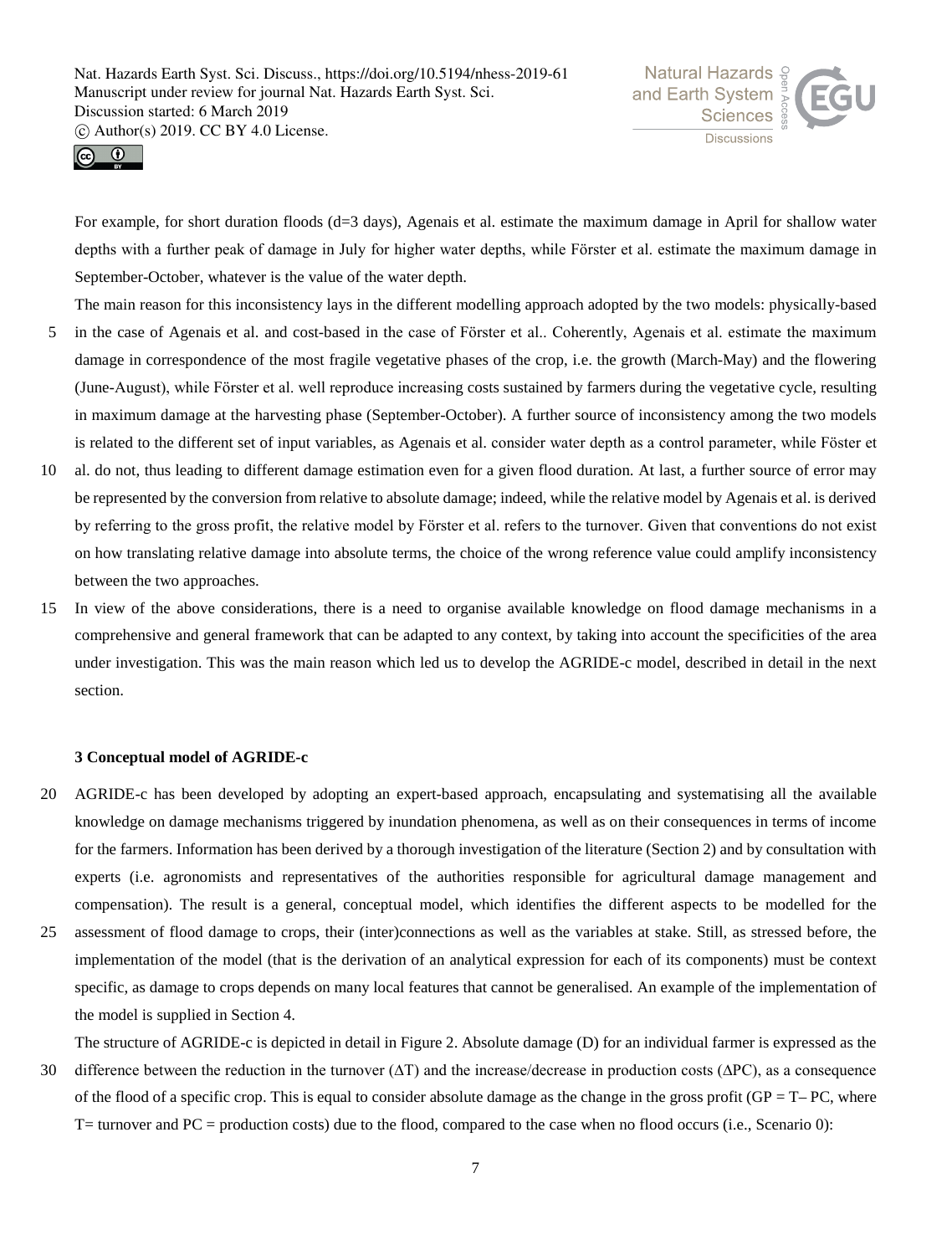



For example, for short duration floods (d=3 days), Agenais et al. estimate the maximum damage in April for shallow water depths with a further peak of damage in July for higher water depths, while Förster et al. estimate the maximum damage in September-October, whatever is the value of the water depth.

The main reason for this inconsistency lays in the different modelling approach adopted by the two models: physically-based

- 5 in the case of Agenais et al. and cost-based in the case of Förster et al.. Coherently, Agenais et al. estimate the maximum damage in correspondence of the most fragile vegetative phases of the crop, i.e. the growth (March-May) and the flowering (June-August), while Fӧrster et al. well reproduce increasing costs sustained by farmers during the vegetative cycle, resulting in maximum damage at the harvesting phase (September-October). A further source of inconsistency among the two models is related to the different set of input variables, as Agenais et al. consider water depth as a control parameter, while Föster et
- 10 al. do not, thus leading to different damage estimation even for a given flood duration. At last, a further source of error may be represented by the conversion from relative to absolute damage; indeed, while the relative model by Agenais et al. is derived by referring to the gross profit, the relative model by Fӧrster et al. refers to the turnover. Given that conventions do not exist on how translating relative damage into absolute terms, the choice of the wrong reference value could amplify inconsistency between the two approaches.
- 15 In view of the above considerations, there is a need to organise available knowledge on flood damage mechanisms in a comprehensive and general framework that can be adapted to any context, by taking into account the specificities of the area under investigation. This was the main reason which led us to develop the AGRIDE-c model, described in detail in the next section.

## **3 Conceptual model of AGRIDE-c**

- 20 AGRIDE-c has been developed by adopting an expert-based approach, encapsulating and systematising all the available knowledge on damage mechanisms triggered by inundation phenomena, as well as on their consequences in terms of income for the farmers. Information has been derived by a thorough investigation of the literature (Section 2) and by consultation with experts (i.e. agronomists and representatives of the authorities responsible for agricultural damage management and compensation). The result is a general, conceptual model, which identifies the different aspects to be modelled for the
- 25 assessment of flood damage to crops, their (inter)connections as well as the variables at stake. Still, as stressed before, the implementation of the model (that is the derivation of an analytical expression for each of its components) must be context specific, as damage to crops depends on many local features that cannot be generalised. An example of the implementation of the model is supplied in Section 4.
- The structure of AGRIDE-c is depicted in detail in Figure 2. Absolute damage (D) for an individual farmer is expressed as the 30 difference between the reduction in the turnover (∆T) and the increase/decrease in production costs (∆PC), as a consequence of the flood of a specific crop. This is equal to consider absolute damage as the change in the gross profit ( $GP = T-PC$ , where  $T=$  turnover and  $PC =$  production costs) due to the flood, compared to the case when no flood occurs (i.e., Scenario 0):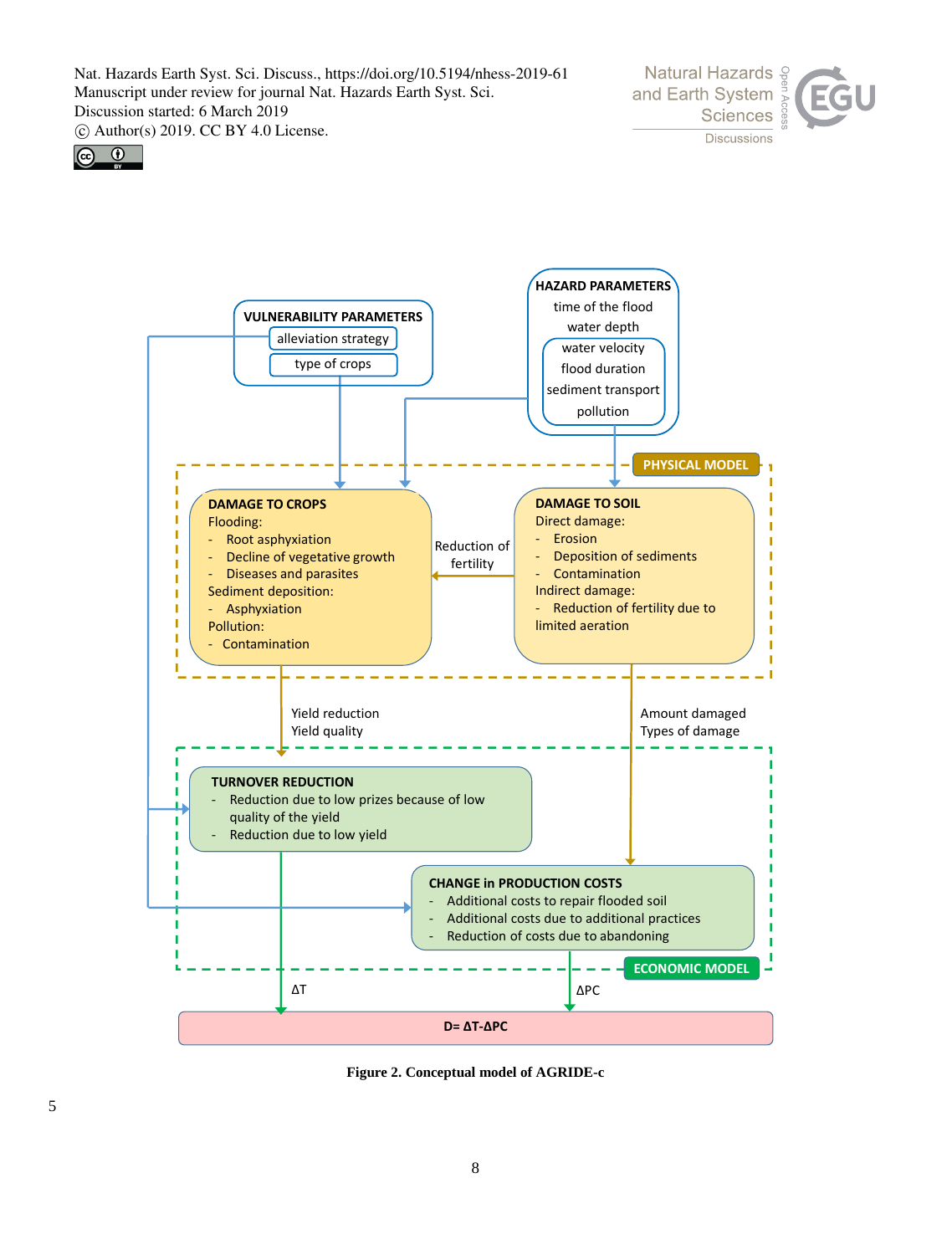





**Figure 2. Conceptual model of AGRIDE-c**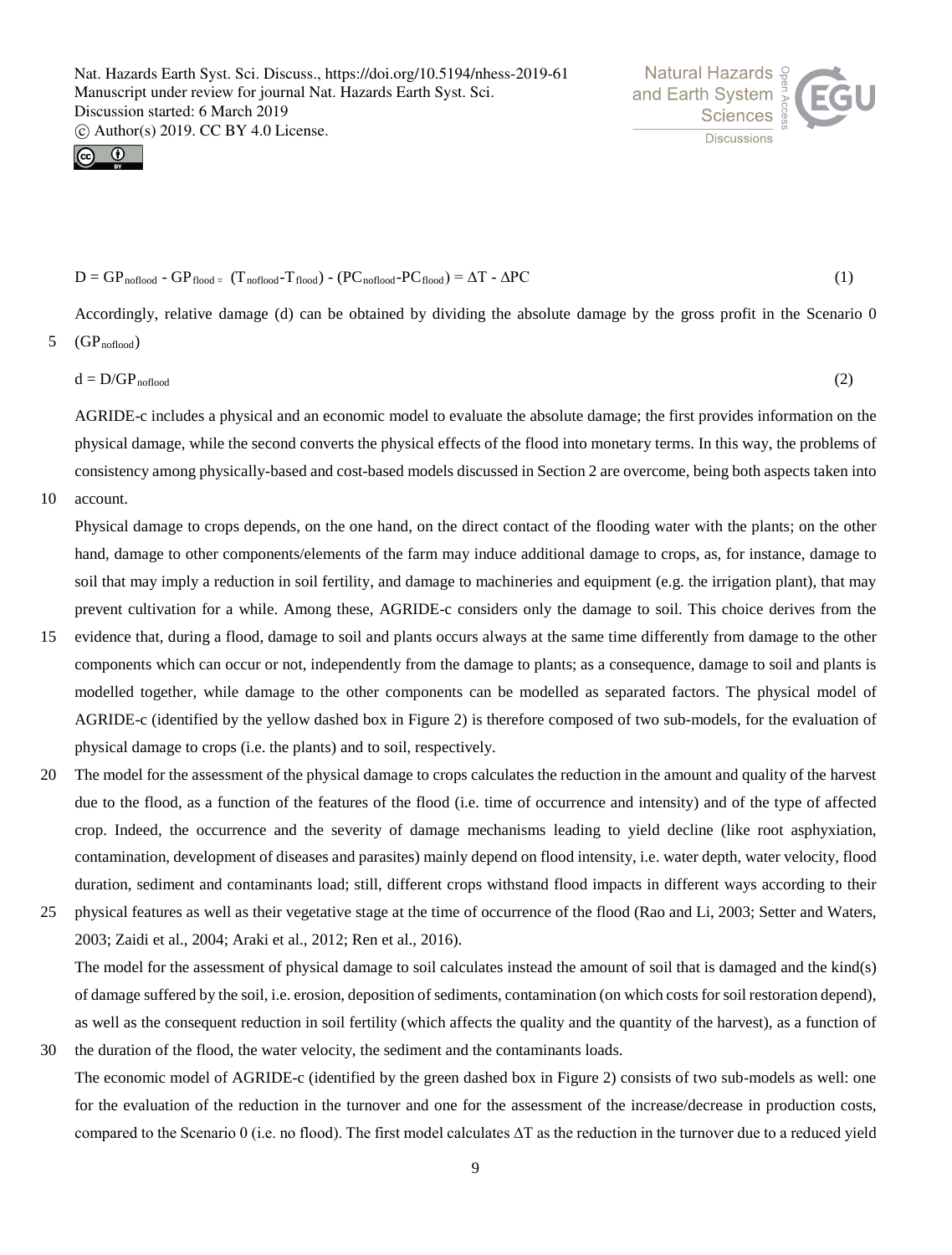



$$
D = GP_{\text{noflood}} - GP_{\text{flood}} = (T_{\text{noflood}} - T_{\text{flood}}) - (PC_{\text{noflood}} - PC_{\text{flood}}) = \Delta T - \Delta PC
$$
 (1)

Accordingly, relative damage (d) can be obtained by dividing the absolute damage by the gross profit in the Scenario 0

$$
5 \quad (\text{GP}_{\text{noflood}})
$$

$$
d = D/GP_{\text{nonload}} \tag{2}
$$

AGRIDE-c includes a physical and an economic model to evaluate the absolute damage; the first provides information on the physical damage, while the second converts the physical effects of the flood into monetary terms. In this way, the problems of consistency among physically-based and cost-based models discussed in Section 2 are overcome, being both aspects taken into

10 account.

Physical damage to crops depends, on the one hand, on the direct contact of the flooding water with the plants; on the other hand, damage to other components/elements of the farm may induce additional damage to crops, as, for instance, damage to soil that may imply a reduction in soil fertility, and damage to machineries and equipment (e.g. the irrigation plant), that may prevent cultivation for a while. Among these, AGRIDE-c considers only the damage to soil. This choice derives from the

- 15 evidence that, during a flood, damage to soil and plants occurs always at the same time differently from damage to the other components which can occur or not, independently from the damage to plants; as a consequence, damage to soil and plants is modelled together, while damage to the other components can be modelled as separated factors. The physical model of AGRIDE-c (identified by the yellow dashed box in Figure 2) is therefore composed of two sub-models, for the evaluation of physical damage to crops (i.e. the plants) and to soil, respectively.
- 20 The model for the assessment of the physical damage to crops calculates the reduction in the amount and quality of the harvest due to the flood, as a function of the features of the flood (i.e. time of occurrence and intensity) and of the type of affected crop. Indeed, the occurrence and the severity of damage mechanisms leading to yield decline (like root asphyxiation, contamination, development of diseases and parasites) mainly depend on flood intensity, i.e. water depth, water velocity, flood duration, sediment and contaminants load; still, different crops withstand flood impacts in different ways according to their
- 25 physical features as well as their vegetative stage at the time of occurrence of the flood (Rao and Li, 2003; Setter and Waters, 2003; Zaidi et al., 2004; Araki et al., 2012; Ren et al., 2016). The model for the assessment of physical damage to soil calculates instead the amount of soil that is damaged and the kind(s) of damage suffered by the soil, i.e. erosion, deposition of sediments, contamination (on which costs for soil restoration depend),

as well as the consequent reduction in soil fertility (which affects the quality and the quantity of the harvest), as a function of 30 the duration of the flood, the water velocity, the sediment and the contaminants loads.

The economic model of AGRIDE-c (identified by the green dashed box in Figure 2) consists of two sub-models as well: one for the evaluation of the reduction in the turnover and one for the assessment of the increase/decrease in production costs, compared to the Scenario 0 (i.e. no flood). The first model calculates ∆T as the reduction in the turnover due to a reduced yield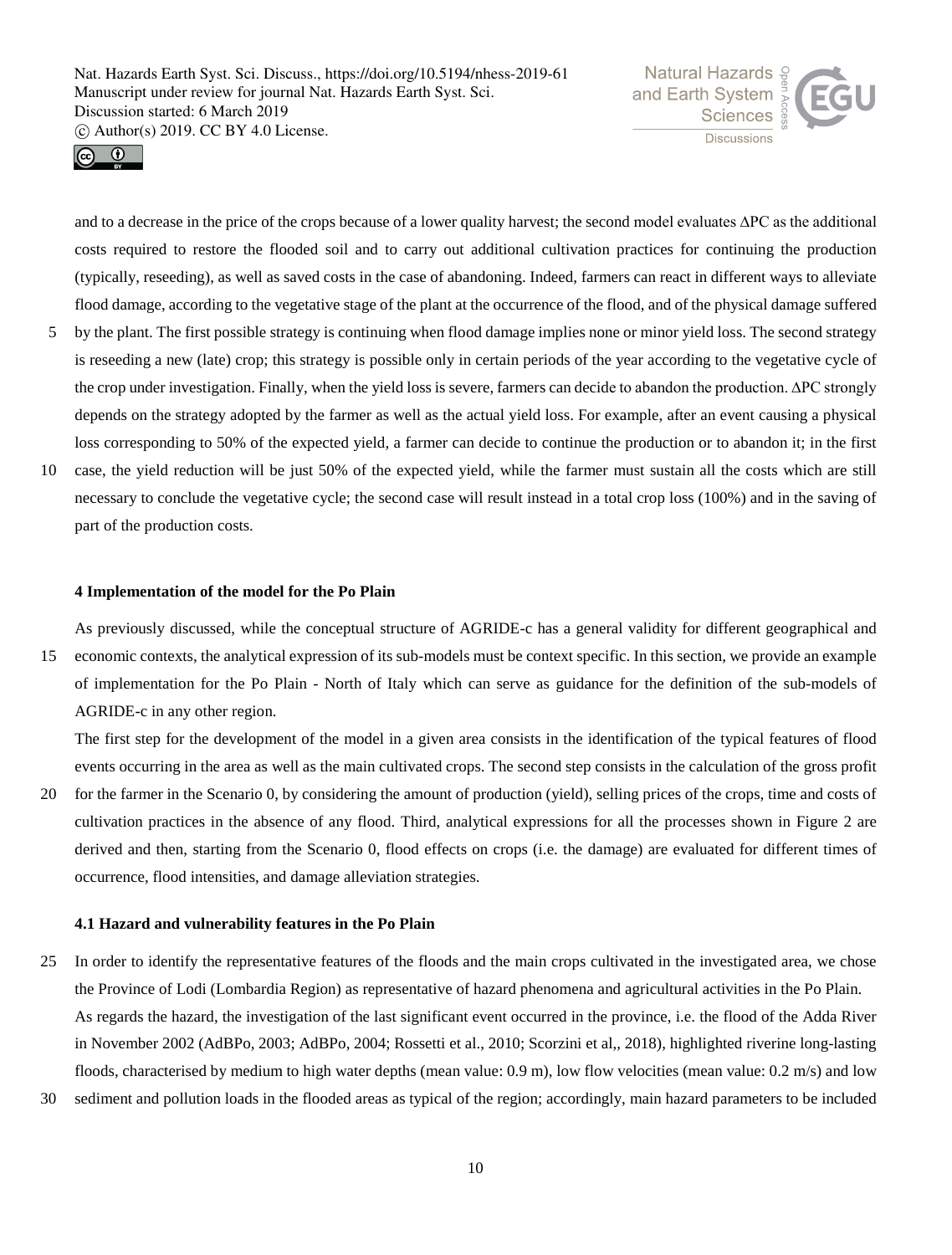



and to a decrease in the price of the crops because of a lower quality harvest; the second model evaluates ∆PC as the additional costs required to restore the flooded soil and to carry out additional cultivation practices for continuing the production (typically, reseeding), as well as saved costs in the case of abandoning. Indeed, farmers can react in different ways to alleviate flood damage, according to the vegetative stage of the plant at the occurrence of the flood, and of the physical damage suffered

- 5 by the plant. The first possible strategy is continuing when flood damage implies none or minor yield loss. The second strategy is reseeding a new (late) crop; this strategy is possible only in certain periods of the year according to the vegetative cycle of the crop under investigation. Finally, when the yield loss is severe, farmers can decide to abandon the production. ∆PC strongly depends on the strategy adopted by the farmer as well as the actual yield loss. For example, after an event causing a physical loss corresponding to 50% of the expected yield, a farmer can decide to continue the production or to abandon it; in the first
- 10 case, the yield reduction will be just 50% of the expected yield, while the farmer must sustain all the costs which are still necessary to conclude the vegetative cycle; the second case will result instead in a total crop loss (100%) and in the saving of part of the production costs.

## **4 Implementation of the model for the Po Plain**

As previously discussed, while the conceptual structure of AGRIDE-c has a general validity for different geographical and 15 economic contexts, the analytical expression of its sub-models must be context specific. In this section, we provide an example of implementation for the Po Plain - North of Italy which can serve as guidance for the definition of the sub-models of AGRIDE-c in any other region.

The first step for the development of the model in a given area consists in the identification of the typical features of flood events occurring in the area as well as the main cultivated crops. The second step consists in the calculation of the gross profit

20 for the farmer in the Scenario 0, by considering the amount of production (yield), selling prices of the crops, time and costs of cultivation practices in the absence of any flood. Third, analytical expressions for all the processes shown in Figure 2 are derived and then, starting from the Scenario 0, flood effects on crops (i.e. the damage) are evaluated for different times of occurrence, flood intensities, and damage alleviation strategies.

## **4.1 Hazard and vulnerability features in the Po Plain**

- 25 In order to identify the representative features of the floods and the main crops cultivated in the investigated area, we chose the Province of Lodi (Lombardia Region) as representative of hazard phenomena and agricultural activities in the Po Plain. As regards the hazard, the investigation of the last significant event occurred in the province, i.e. the flood of the Adda River in November 2002 (AdBPo, 2003; AdBPo, 2004; Rossetti et al., 2010; Scorzini et al,, 2018), highlighted riverine long-lasting floods, characterised by medium to high water depths (mean value: 0.9 m), low flow velocities (mean value: 0.2 m/s) and low
- 30 sediment and pollution loads in the flooded areas as typical of the region; accordingly, main hazard parameters to be included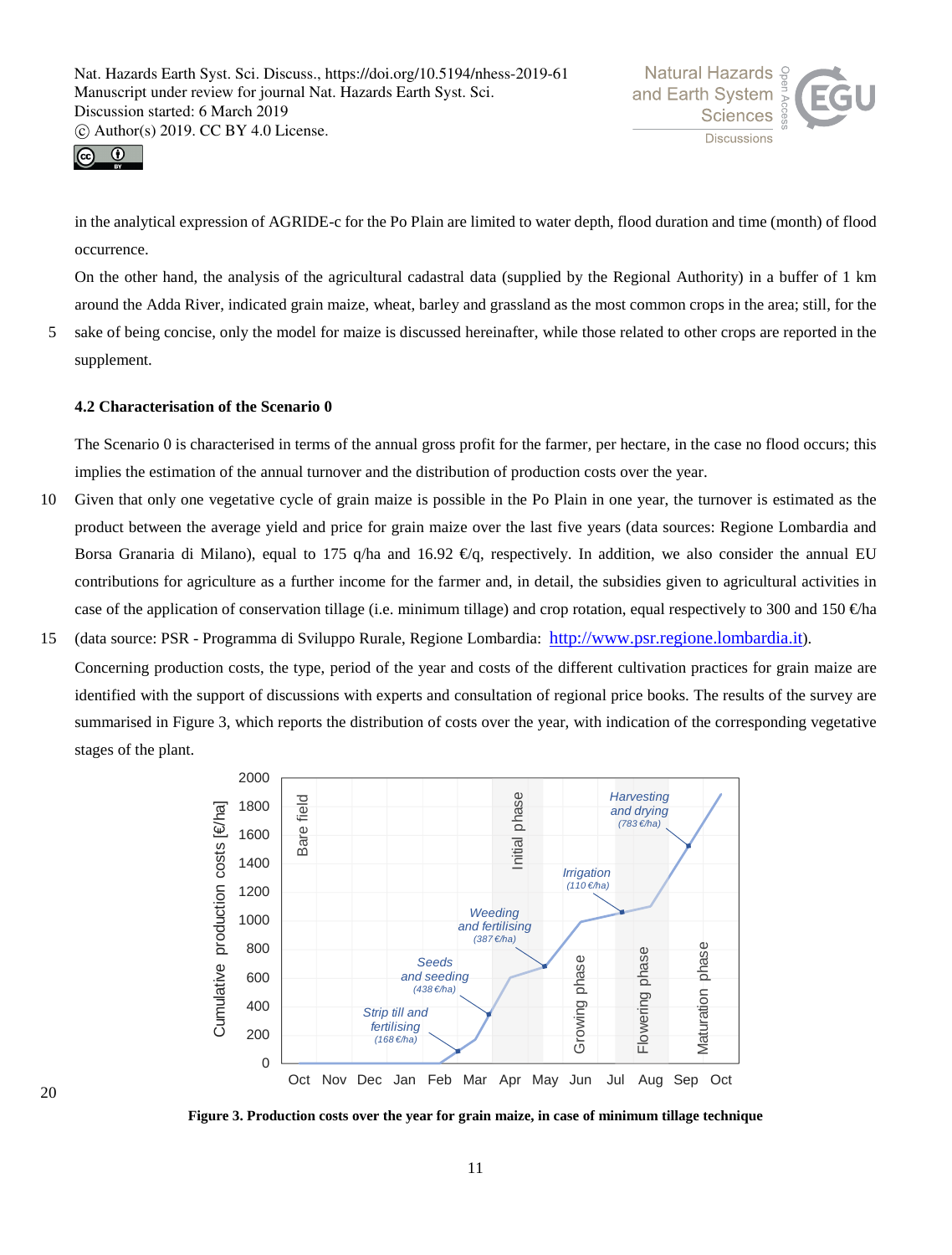



in the analytical expression of AGRIDE-c for the Po Plain are limited to water depth, flood duration and time (month) of flood occurrence.

On the other hand, the analysis of the agricultural cadastral data (supplied by the Regional Authority) in a buffer of 1 km around the Adda River, indicated grain maize, wheat, barley and grassland as the most common crops in the area; still, for the

5 sake of being concise, only the model for maize is discussed hereinafter, while those related to other crops are reported in the supplement.

## **4.2 Characterisation of the Scenario 0**

The Scenario 0 is characterised in terms of the annual gross profit for the farmer, per hectare, in the case no flood occurs; this implies the estimation of the annual turnover and the distribution of production costs over the year.

- 10 Given that only one vegetative cycle of grain maize is possible in the Po Plain in one year, the turnover is estimated as the product between the average yield and price for grain maize over the last five years (data sources: Regione Lombardia and Borsa Granaria di Milano), equal to 175 q/ha and 16.92  $\mathcal{Q}_q$ , respectively. In addition, we also consider the annual EU contributions for agriculture as a further income for the farmer and, in detail, the subsidies given to agricultural activities in case of the application of conservation tillage (i.e. minimum tillage) and crop rotation, equal respectively to 300 and 150  $\oplus$ ha
- 15 (data source: PSR Programma di Sviluppo Rurale, Regione Lombardia: http://www.psr.regione.lombardia.it). Concerning production costs, the type, period of the year and costs of the different cultivation practices for grain maize are identified with the support of discussions with experts and consultation of regional price books. The results of the survey are summarised in Figure 3, which reports the distribution of costs over the year, with indication of the corresponding vegetative stages of the plant.



**Figure 3. Production costs over the year for grain maize, in case of minimum tillage technique**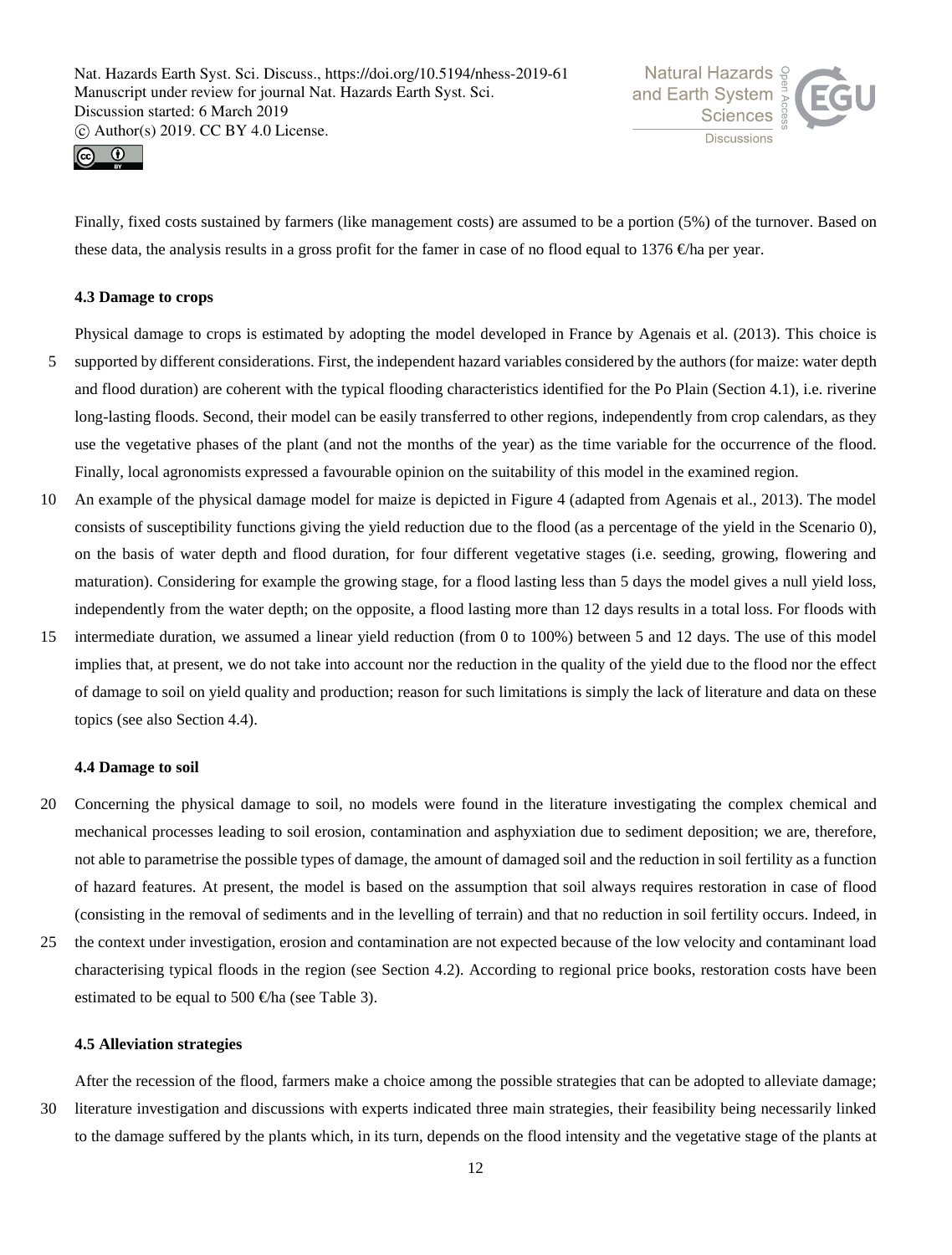



Finally, fixed costs sustained by farmers (like management costs) are assumed to be a portion (5%) of the turnover. Based on these data, the analysis results in a gross profit for the famer in case of no flood equal to 1376  $\oplus$ ha per year.

# **4.3 Damage to crops**

Physical damage to crops is estimated by adopting the model developed in France by Agenais et al. (2013). This choice is

- 5 supported by different considerations. First, the independent hazard variables considered by the authors (for maize: water depth and flood duration) are coherent with the typical flooding characteristics identified for the Po Plain (Section 4.1), i.e. riverine long-lasting floods. Second, their model can be easily transferred to other regions, independently from crop calendars, as they use the vegetative phases of the plant (and not the months of the year) as the time variable for the occurrence of the flood. Finally, local agronomists expressed a favourable opinion on the suitability of this model in the examined region.
- 10 An example of the physical damage model for maize is depicted in Figure 4 (adapted from Agenais et al., 2013). The model consists of susceptibility functions giving the yield reduction due to the flood (as a percentage of the yield in the Scenario 0), on the basis of water depth and flood duration, for four different vegetative stages (i.e. seeding, growing, flowering and maturation). Considering for example the growing stage, for a flood lasting less than 5 days the model gives a null yield loss, independently from the water depth; on the opposite, a flood lasting more than 12 days results in a total loss. For floods with
- 15 intermediate duration, we assumed a linear yield reduction (from 0 to 100%) between 5 and 12 days. The use of this model implies that, at present, we do not take into account nor the reduction in the quality of the yield due to the flood nor the effect of damage to soil on yield quality and production; reason for such limitations is simply the lack of literature and data on these topics (see also Section 4.4).

## **4.4 Damage to soil**

- 20 Concerning the physical damage to soil, no models were found in the literature investigating the complex chemical and mechanical processes leading to soil erosion, contamination and asphyxiation due to sediment deposition; we are, therefore, not able to parametrise the possible types of damage, the amount of damaged soil and the reduction in soil fertility as a function of hazard features. At present, the model is based on the assumption that soil always requires restoration in case of flood (consisting in the removal of sediments and in the levelling of terrain) and that no reduction in soil fertility occurs. Indeed, in
- 25 the context under investigation, erosion and contamination are not expected because of the low velocity and contaminant load characterising typical floods in the region (see Section 4.2). According to regional price books, restoration costs have been estimated to be equal to 500  $\bigoplus$  fa (see Table 3).

## **4.5 Alleviation strategies**

After the recession of the flood, farmers make a choice among the possible strategies that can be adopted to alleviate damage;

30 literature investigation and discussions with experts indicated three main strategies, their feasibility being necessarily linked to the damage suffered by the plants which, in its turn, depends on the flood intensity and the vegetative stage of the plants at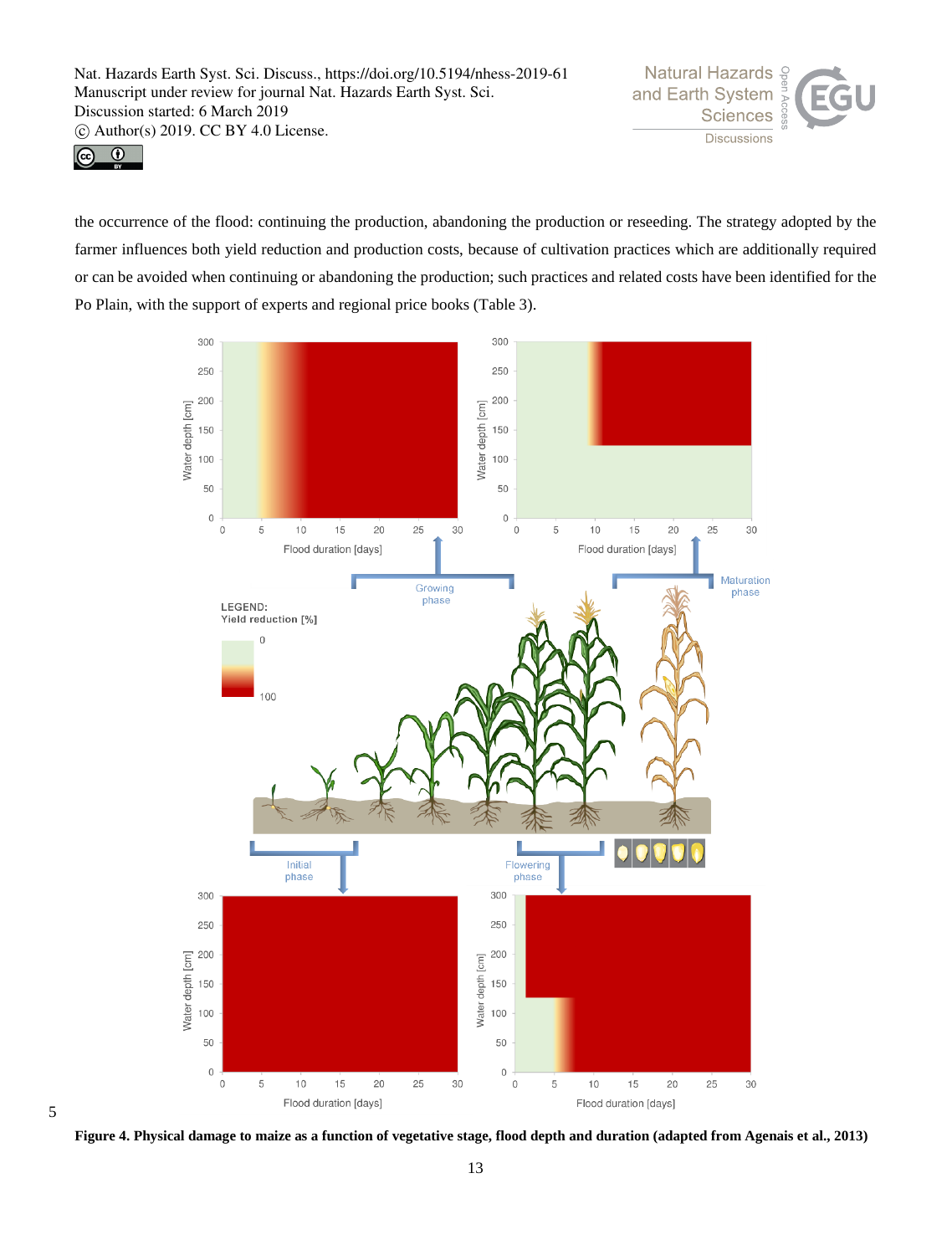



the occurrence of the flood: continuing the production, abandoning the production or reseeding. The strategy adopted by the farmer influences both yield reduction and production costs, because of cultivation practices which are additionally required or can be avoided when continuing or abandoning the production; such practices and related costs have been identified for the Po Plain, with the support of experts and regional price books (Table 3).



**Figure 4. Physical damage to maize as a function of vegetative stage, flood depth and duration (adapted from Agenais et al., 2013)**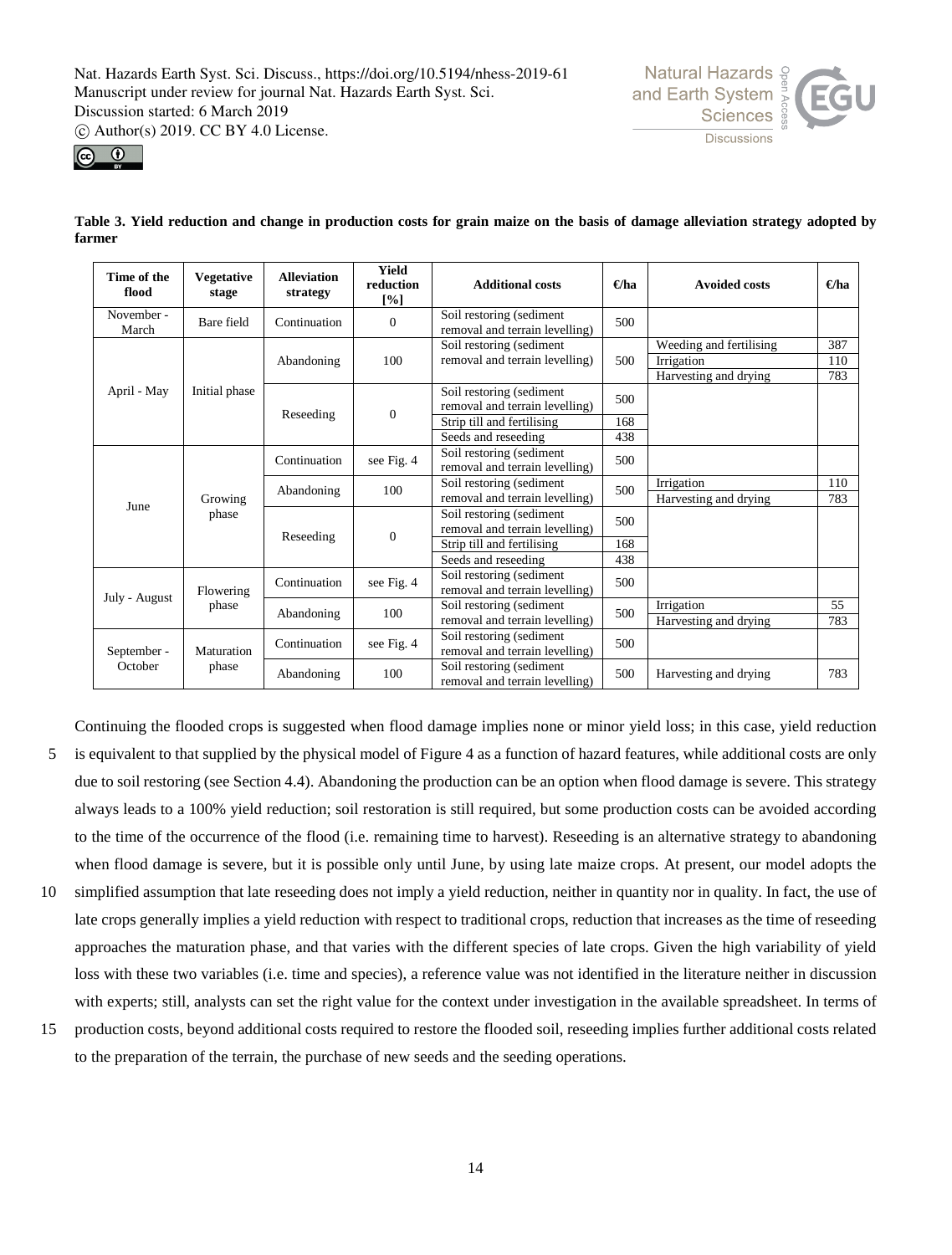phase

Maturation phase

September - **October** 

**Natural Hazards &** and Earth System Discussions



| Time of the<br>flood | <b>Vegetative</b><br>stage | <b>Alleviation</b><br>strategy | Yield<br>reduction<br>[%] | <b>Additional costs</b>                                    | €ha        | <b>Avoided costs</b>                                           | $\Theta$ ha       |
|----------------------|----------------------------|--------------------------------|---------------------------|------------------------------------------------------------|------------|----------------------------------------------------------------|-------------------|
| November -<br>March  | Bare field                 | Continuation                   | $\theta$                  | Soil restoring (sediment<br>removal and terrain levelling) | 500        |                                                                |                   |
| April - May<br>June  |                            | Abandoning                     | 100                       | Soil restoring (sediment<br>removal and terrain levelling) | 500        | Weeding and fertilising<br>Irrigation<br>Harvesting and drying | 387<br>110<br>783 |
|                      | Initial phase              | Reseeding                      | $\overline{0}$            | Soil restoring (sediment<br>removal and terrain levelling) | 500        |                                                                |                   |
|                      |                            |                                |                           | Strip till and fertilising<br>Seeds and reseeding          | 168<br>438 |                                                                |                   |
|                      |                            | Continuation                   | see Fig. 4                | Soil restoring (sediment<br>removal and terrain levelling) | 500        |                                                                |                   |
|                      | Growing                    | Abandoning                     | 100                       | Soil restoring (sediment<br>removal and terrain levelling) | 500        | Irrigation<br>Harvesting and drying                            | 110<br>783        |
|                      | phase                      |                                | $\overline{0}$            | Soil restoring (sediment<br>removal and terrain levelling) | 500        |                                                                |                   |
|                      |                            | Reseeding                      |                           | Strip till and fertilising<br>Seeds and reseeding          | 168<br>438 |                                                                |                   |
|                      | Flowering                  | Continuation                   | see Fig. 4                | Soil restoring (sediment<br>removal and terrain levelling) | 500        |                                                                |                   |
| July - August        | حممتك                      |                                |                           | $00$ is a second or $($ solimnated by $\frac{1}{2}$        |            | $L_{\text{max}} = L_{\text{max}}$                              | 55                |

**Table 3. Yield reduction and change in production costs for grain maize on the basis of damage alleviation strategy adopted by farmer**

Continuing the flooded crops is suggested when flood damage implies none or minor yield loss; in this case, yield reduction

 $\frac{500 \text{ resnormg}}{500}$  removal and terrain levelling)  $\frac{500}{500}$ 

Soil restoring (sediment<br>removal and terrain levelling) 500 Harvesting and drying 783

Fremoval and terrain levelling) 500 Harvesting and drying 783

Harvesting and drying

Abandoning 100 Soil restoring (sediment

Continuation see Fig. 4 Soil restoring (sediment

Abandoning 100 Soil restoring (sediment

- 5 is equivalent to that supplied by the physical model of Figure 4 as a function of hazard features, while additional costs are only due to soil restoring (see Section 4.4). Abandoning the production can be an option when flood damage is severe. This strategy always leads to a 100% yield reduction; soil restoration is still required, but some production costs can be avoided according to the time of the occurrence of the flood (i.e. remaining time to harvest). Reseeding is an alternative strategy to abandoning when flood damage is severe, but it is possible only until June, by using late maize crops. At present, our model adopts the
- 10 simplified assumption that late reseeding does not imply a yield reduction, neither in quantity nor in quality. In fact, the use of late crops generally implies a yield reduction with respect to traditional crops, reduction that increases as the time of reseeding approaches the maturation phase, and that varies with the different species of late crops. Given the high variability of yield loss with these two variables (i.e. time and species), a reference value was not identified in the literature neither in discussion with experts; still, analysts can set the right value for the context under investigation in the available spreadsheet. In terms of
- 15 production costs, beyond additional costs required to restore the flooded soil, reseeding implies further additional costs related to the preparation of the terrain, the purchase of new seeds and the seeding operations.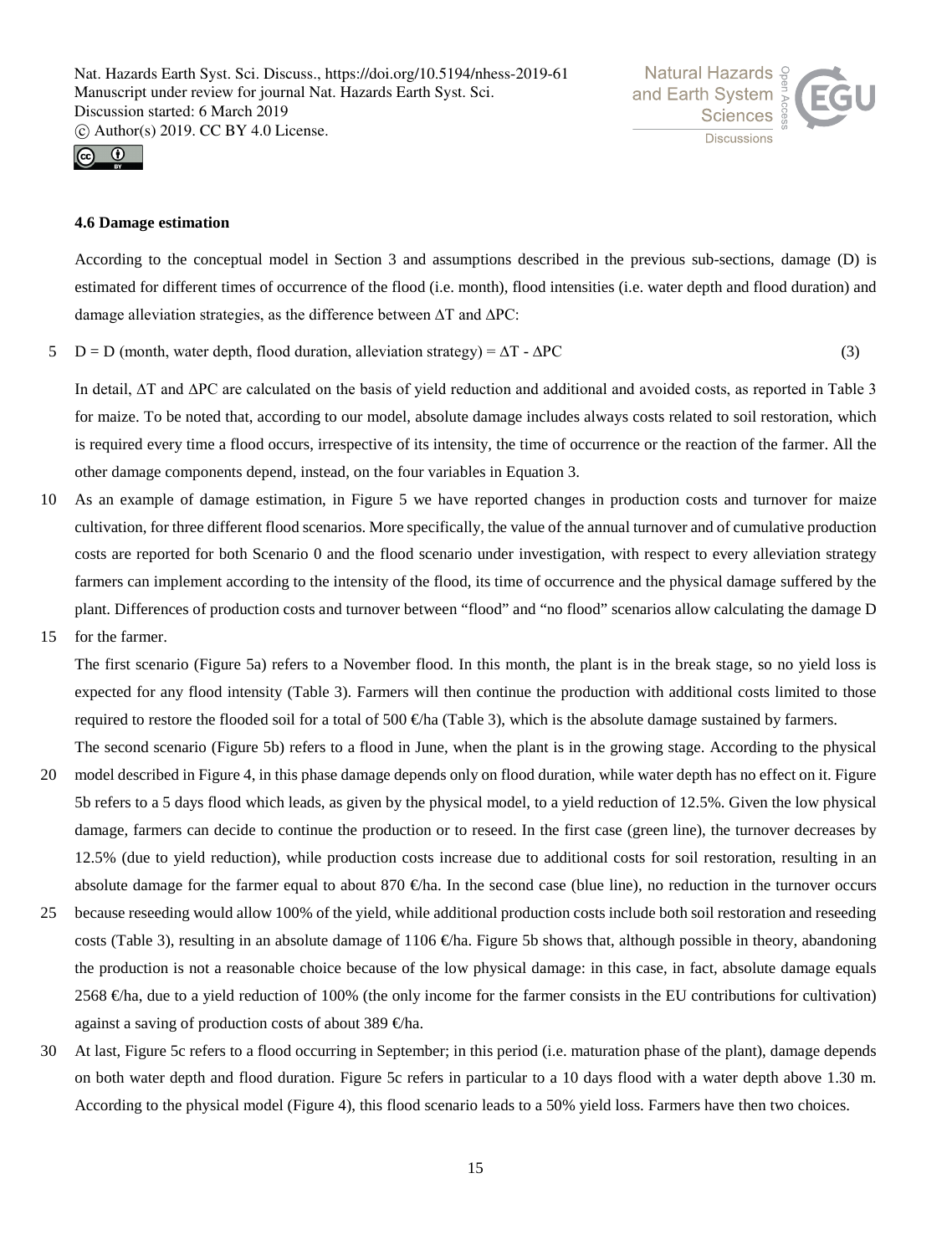



# **4.6 Damage estimation**

According to the conceptual model in Section 3 and assumptions described in the previous sub-sections, damage (D) is estimated for different times of occurrence of the flood (i.e. month), flood intensities (i.e. water depth and flood duration) and damage alleviation strategies, as the difference between ∆T and ∆PC:

 $5\quad D = D$  (month, water depth, flood duration, alleviation strategy) =  $\Delta T - \Delta PC$  (3)

In detail, ∆T and ∆PC are calculated on the basis of yield reduction and additional and avoided costs, as reported in Table 3 for maize. To be noted that, according to our model, absolute damage includes always costs related to soil restoration, which is required every time a flood occurs, irrespective of its intensity, the time of occurrence or the reaction of the farmer. All the other damage components depend, instead, on the four variables in Equation 3.

- 10 As an example of damage estimation, in Figure 5 we have reported changes in production costs and turnover for maize cultivation, for three different flood scenarios. More specifically, the value of the annual turnover and of cumulative production costs are reported for both Scenario 0 and the flood scenario under investigation, with respect to every alleviation strategy farmers can implement according to the intensity of the flood, its time of occurrence and the physical damage suffered by the plant. Differences of production costs and turnover between "flood" and "no flood" scenarios allow calculating the damage D
- 15 for the farmer.

The first scenario (Figure 5a) refers to a November flood. In this month, the plant is in the break stage, so no yield loss is expected for any flood intensity (Table 3). Farmers will then continue the production with additional costs limited to those required to restore the flooded soil for a total of 500  $\oplus$ ha (Table 3), which is the absolute damage sustained by farmers.

The second scenario (Figure 5b) refers to a flood in June, when the plant is in the growing stage. According to the physical

- 20 model described in Figure 4, in this phase damage depends only on flood duration, while water depth has no effect on it. Figure 5b refers to a 5 days flood which leads, as given by the physical model, to a yield reduction of 12.5%. Given the low physical damage, farmers can decide to continue the production or to reseed. In the first case (green line), the turnover decreases by 12.5% (due to yield reduction), while production costs increase due to additional costs for soil restoration, resulting in an absolute damage for the farmer equal to about 870  $\bigoplus$  fa. In the second case (blue line), no reduction in the turnover occurs
- 25 because reseeding would allow 100% of the yield, while additional production costs include both soil restoration and reseeding costs (Table 3), resulting in an absolute damage of 1106  $\bigoplus$ ha. Figure 5b shows that, although possible in theory, abandoning the production is not a reasonable choice because of the low physical damage: in this case, in fact, absolute damage equals 2568 €ha, due to a yield reduction of 100% (the only income for the farmer consists in the EU contributions for cultivation) against a saving of production costs of about 389  $\oplus$ ha.
- 30 At last, Figure 5c refers to a flood occurring in September; in this period (i.e. maturation phase of the plant), damage depends on both water depth and flood duration. Figure 5c refers in particular to a 10 days flood with a water depth above 1.30 m. According to the physical model (Figure 4), this flood scenario leads to a 50% yield loss. Farmers have then two choices.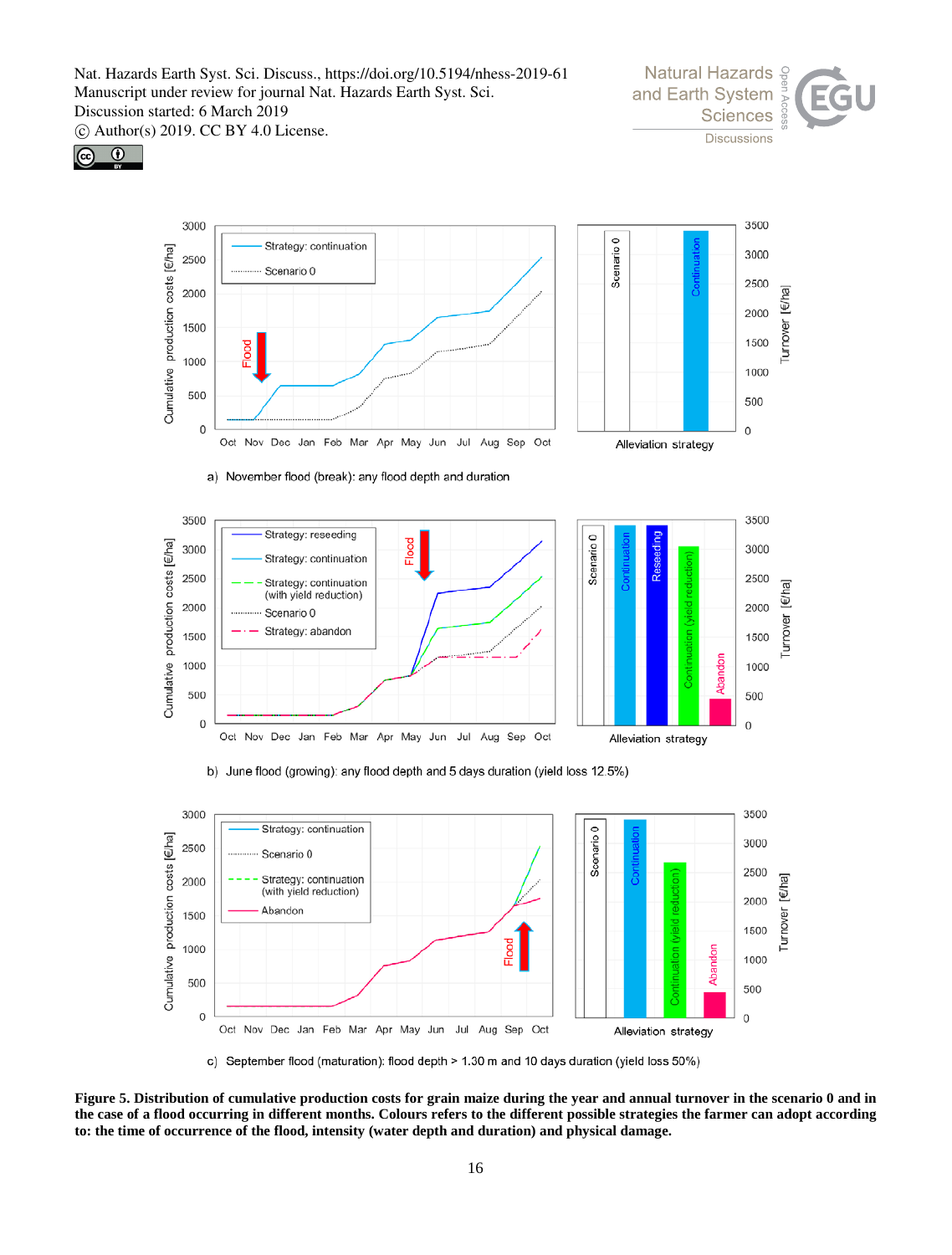









b) June flood (growing): any flood depth and 5 days duration (yield loss 12.5%)



c) September flood (maturation): flood depth > 1.30 m and 10 days duration (yield loss 50%)

**Figure 5. Distribution of cumulative production costs for grain maize during the year and annual turnover in the scenario 0 and in the case of a flood occurring in different months. Colours refers to the different possible strategies the farmer can adopt according to: the time of occurrence of the flood, intensity (water depth and duration) and physical damage.**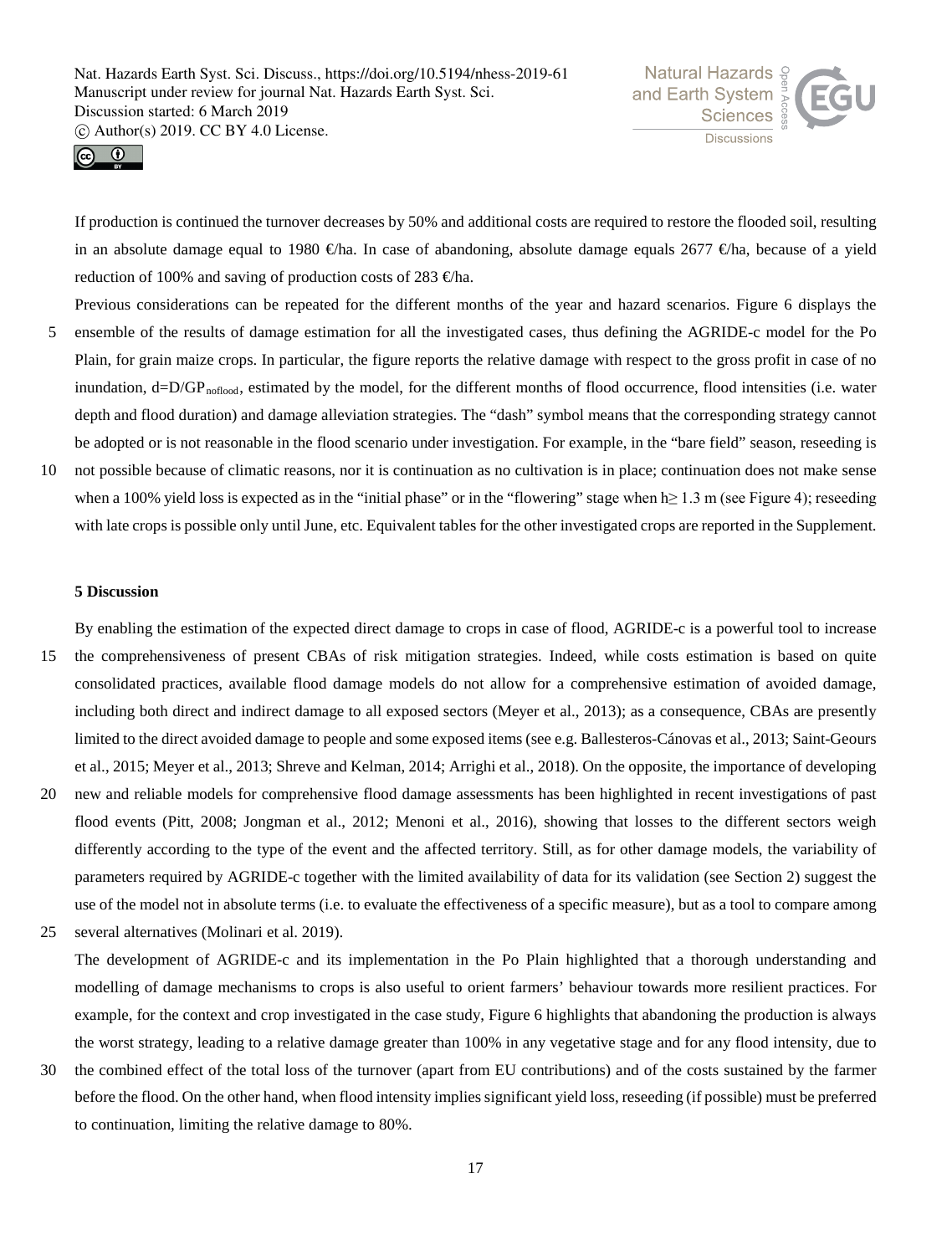



If production is continued the turnover decreases by 50% and additional costs are required to restore the flooded soil, resulting in an absolute damage equal to 1980 €ha. In case of abandoning, absolute damage equals 2677 €/ha, because of a yield reduction of 100% and saving of production costs of 283  $\oplus$ ha.

- Previous considerations can be repeated for the different months of the year and hazard scenarios. Figure 6 displays the 5 ensemble of the results of damage estimation for all the investigated cases, thus defining the AGRIDE-c model for the Po Plain, for grain maize crops. In particular, the figure reports the relative damage with respect to the gross profit in case of no inundation,  $d=D/GP_{\text{nofood}}$ , estimated by the model, for the different months of flood occurrence, flood intensities (i.e. water depth and flood duration) and damage alleviation strategies. The "dash" symbol means that the corresponding strategy cannot be adopted or is not reasonable in the flood scenario under investigation. For example, in the "bare field" season, reseeding is
- 10 not possible because of climatic reasons, nor it is continuation as no cultivation is in place; continuation does not make sense when a 100% yield loss is expected as in the "initial phase" or in the "flowering" stage when h≥ 1.3 m (see Figure 4); reseeding with late crops is possible only until June, etc. Equivalent tables for the other investigated crops are reported in the Supplement.

# **5 Discussion**

By enabling the estimation of the expected direct damage to crops in case of flood, AGRIDE-c is a powerful tool to increase 15 the comprehensiveness of present CBAs of risk mitigation strategies. Indeed, while costs estimation is based on quite consolidated practices, available flood damage models do not allow for a comprehensive estimation of avoided damage, including both direct and indirect damage to all exposed sectors (Meyer et al., 2013); as a consequence, CBAs are presently limited to the direct avoided damage to people and some exposed items (see e.g. Ballesteros-Cánovas et al., 2013; Saint-Geours et al., 2015; Meyer et al., 2013; Shreve and Kelman, 2014; Arrighi et al., 2018). On the opposite, the importance of developing 20 new and reliable models for comprehensive flood damage assessments has been highlighted in recent investigations of past flood events (Pitt, 2008; Jongman et al., 2012; Menoni et al., 2016), showing that losses to the different sectors weigh differently according to the type of the event and the affected territory. Still, as for other damage models, the variability of

use of the model not in absolute terms (i.e. to evaluate the effectiveness of a specific measure), but as a tool to compare among 25 several alternatives (Molinari et al. 2019).

parameters required by AGRIDE-c together with the limited availability of data for its validation (see Section 2) suggest the

- The development of AGRIDE-c and its implementation in the Po Plain highlighted that a thorough understanding and modelling of damage mechanisms to crops is also useful to orient farmers' behaviour towards more resilient practices. For example, for the context and crop investigated in the case study, Figure 6 highlights that abandoning the production is always the worst strategy, leading to a relative damage greater than 100% in any vegetative stage and for any flood intensity, due to
- 30 the combined effect of the total loss of the turnover (apart from EU contributions) and of the costs sustained by the farmer before the flood. On the other hand, when flood intensity implies significant yield loss, reseeding (if possible) must be preferred to continuation, limiting the relative damage to 80%.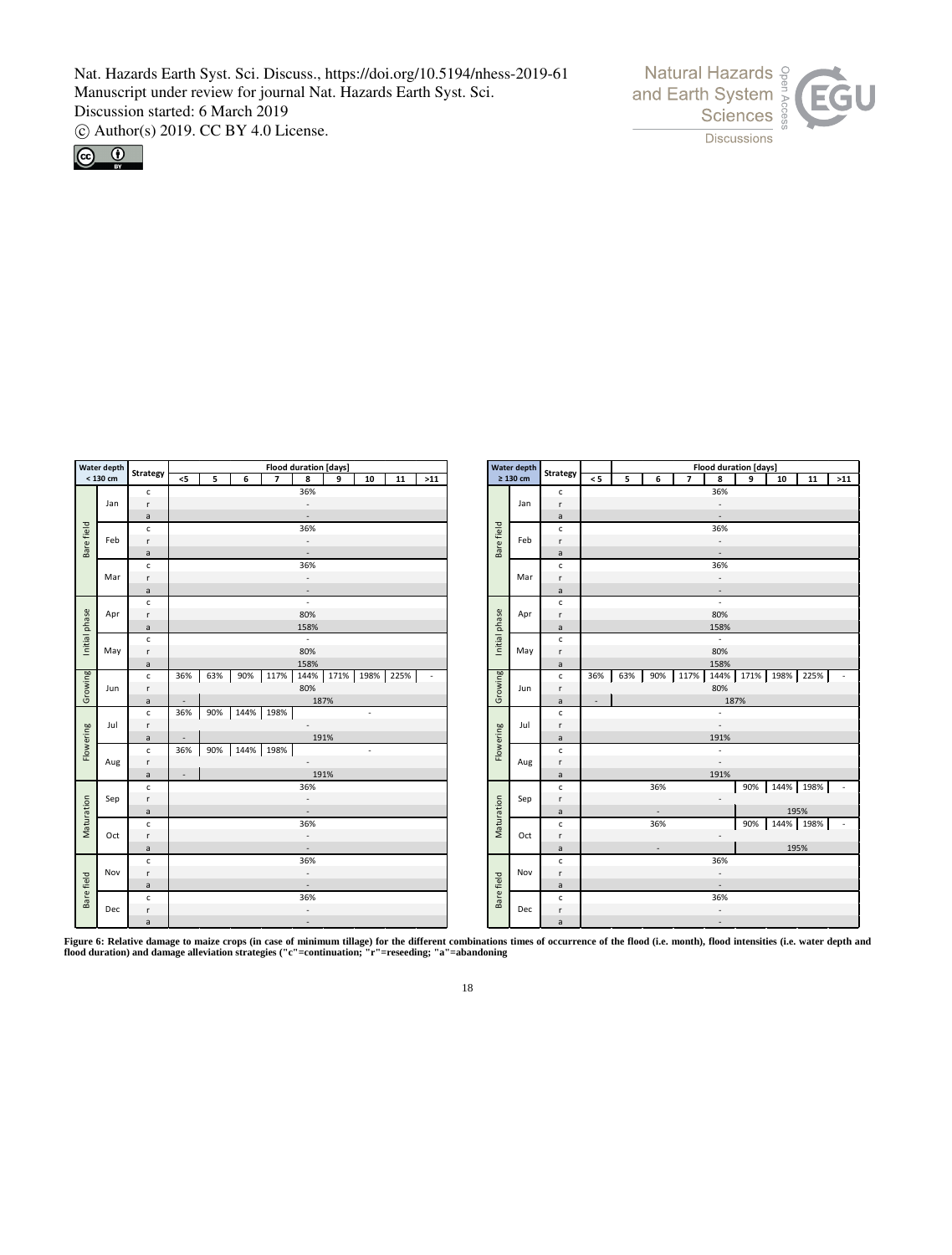



|               | Water depth | <b>Strategy</b> |                          | Flood duration [days]           |           |      |                          |                          |      |  |            |                |              |                          | <b>Water depth</b> | <b>Strategy</b> | <b>Flood duration [days]</b> |                          |        |           |                          |                |        |           |           |    |                          |
|---------------|-------------|-----------------|--------------------------|---------------------------------|-----------|------|--------------------------|--------------------------|------|--|------------|----------------|--------------|--------------------------|--------------------|-----------------|------------------------------|--------------------------|--------|-----------|--------------------------|----------------|--------|-----------|-----------|----|--------------------------|
|               | $< 130$ cm  |                 | $<$ 5                    | 5                               | 6         |      | $\overline{\phantom{a}}$ | 8                        | 9    |  | 10         | 11             | $>11$        |                          |                    | $\geq 130$ cm   |                              | $\leq 5$                 | 5      | 6         |                          | $\overline{7}$ | 8      | 9         | 10        | 11 | $>11$                    |
|               |             | $\mathsf{c}\,$  |                          |                                 |           |      |                          | 36%                      |      |  |            |                |              |                          |                    |                 | $\mathsf{c}$                 |                          |        |           |                          |                | 36%    |           |           |    |                          |
|               | Jan         | $\mathsf{r}$    | $\overline{\phantom{a}}$ |                                 |           |      |                          |                          |      |  |            | Jan            | r            | $\overline{\phantom{a}}$ |                    |                 |                              |                          |        |           |                          |                |        |           |           |    |                          |
|               |             | $\mathsf{a}$    | $\overline{\phantom{a}}$ |                                 |           |      |                          |                          |      |  |            |                |              | $\mathsf{a}$             |                    |                 |                              |                          |        | $\sim$    |                          |                |        |           |           |    |                          |
| Bare field    |             | $\mathsf{c}\,$  |                          | 36%                             |           |      |                          |                          |      |  |            |                |              | Bare field               |                    | $\mathsf{c}$    |                              |                          |        |           |                          | 36%            |        |           |           |    |                          |
|               | Feb         | r               | $\overline{\phantom{a}}$ |                                 |           |      |                          |                          |      |  |            |                |              | Feb                      | $\mathsf{r}$       |                 |                              |                          |        |           | $\overline{\phantom{a}}$ |                |        |           |           |    |                          |
|               |             | $\mathsf{a}$    |                          | $\overline{\phantom{a}}$<br>36% |           |      |                          |                          |      |  |            |                |              |                          |                    | $\mathsf{a}$    | $\sim$                       |                          |        |           |                          |                |        |           |           |    |                          |
|               |             | $\mathsf{c}$    |                          |                                 |           |      |                          |                          |      |  |            |                |              |                          | $\mathsf{C}$       |                 |                              |                          |        |           | 36%                      |                |        |           |           |    |                          |
|               | Mar         | r               | $\overline{\phantom{a}}$ |                                 |           |      |                          |                          |      |  |            |                |              |                          | Mar                | $\mathsf{r}$    |                              |                          |        |           |                          | $\sim$         |        |           |           |    |                          |
|               |             | $\mathsf{a}$    | $\overline{\phantom{a}}$ |                                 |           |      |                          |                          |      |  |            |                | $\mathsf{a}$ |                          |                    |                 |                              |                          | $\sim$ |           |                          |                |        |           |           |    |                          |
|               |             | $\mathsf{c}\,$  | $\sim$<br>80%            |                                 |           |      |                          |                          |      |  |            |                |              | $\mathsf{c}$             |                    |                 |                              |                          |        | $\sim$    |                          |                |        |           |           |    |                          |
|               | Apr         | r.              |                          |                                 |           |      |                          |                          |      |  |            |                |              | Apr                      | $\mathsf{r}$       |                 |                              |                          |        |           | 80%                      |                |        |           |           |    |                          |
|               |             | $\mathsf{a}$    |                          |                                 |           | 158% |                          |                          |      |  |            |                |              |                          |                    | $\mathsf{a}$    |                              |                          |        |           |                          | 158%           |        |           |           |    |                          |
| Initial phase |             | $\mathsf{c}$    |                          | $\mathcal{L}$                   |           |      |                          |                          |      |  |            | Initial phase  |              | $\mathsf{c}$             |                    |                 |                              |                          |        | $\bar{z}$ |                          |                |        |           |           |    |                          |
|               | May         | $\mathsf{r}$    | 80%                      |                                 |           |      |                          |                          |      |  |            |                |              | May                      | $\mathsf{r}$       |                 |                              |                          |        |           | 80%                      |                |        |           |           |    |                          |
|               |             | a               | 158%                     |                                 |           |      |                          |                          |      |  |            |                | $\mathsf{a}$ |                          |                    |                 |                              |                          |        | 158%      |                          |                |        |           |           |    |                          |
| Growing       |             | $\mathsf{c}$    | 36%                      | 63%                             | 90%       |      | 117%                     | 144%                     |      |  |            | 171% 198% 225% |              |                          | Growing            |                 | $\mathsf{c}$                 | 36%                      | 63%    | 90%       |                          | 117%           |        | 144% 171% | 198% 225% |    | $\overline{\phantom{a}}$ |
|               | Jun         | $\mathsf{r}$    | 80%                      |                                 |           |      |                          |                          |      |  |            |                | Jun          | $\mathsf{r}$             |                    |                 |                              |                          |        | 80%       |                          |                |        |           |           |    |                          |
|               |             | $\mathsf{a}$    | 187%<br>$\sim$           |                                 |           |      |                          |                          |      |  |            |                |              |                          | $\mathsf{a}$       | $\sim$          |                              |                          |        |           |                          | 187%           |        |           |           |    |                          |
|               |             | $\mathsf{c}$    | 36%                      | 90%                             | 144%      |      | 198%                     |                          |      |  | $\epsilon$ |                |              |                          |                    |                 | $\mathsf{c}$                 |                          |        |           |                          |                |        |           |           |    |                          |
|               | Jul         | r.              | $\sim$                   |                                 |           |      |                          |                          |      |  |            |                |              |                          |                    | Jul             | r                            |                          |        |           |                          |                | $\sim$ |           |           |    |                          |
| Flowering     |             | $\mathsf{a}$    | $\sim$                   |                                 |           |      |                          |                          | 191% |  |            |                |              |                          |                    |                 | $\mathsf{a}$                 |                          |        |           |                          |                | 191%   |           |           |    |                          |
|               |             | $\mathsf{c}\,$  | 36%                      | 90%                             | 144% 198% |      |                          |                          |      |  | $\sim$     |                |              |                          | Flowering          |                 | $\mathsf{c}$                 |                          |        |           |                          |                | $\sim$ |           |           |    |                          |
|               | Aug         | r               | $\overline{\phantom{a}}$ |                                 |           |      |                          |                          |      |  |            |                |              | Aug                      | $\mathsf{r}$       |                 |                              |                          |        |           | $\sim$                   |                |        |           |           |    |                          |
|               |             | $\mathsf{a}$    | $\sim$                   |                                 |           |      |                          |                          | 191% |  |            |                |              |                          |                    |                 | $\mathsf{a}$                 |                          |        |           |                          |                | 191%   |           |           |    |                          |
|               |             | $\mathsf{c}$    |                          |                                 |           |      |                          | 36%                      |      |  |            |                |              |                          |                    |                 | $\mathsf{c}$                 |                          |        | 36%       |                          |                |        | 90%       | 144% 198% |    | $\overline{\phantom{a}}$ |
|               | Sep         | r               |                          |                                 |           |      |                          | $\overline{\phantom{a}}$ |      |  |            |                |              |                          |                    | Sep             | $\mathsf{r}$                 |                          |        |           |                          |                | $\sim$ |           |           |    |                          |
|               |             | $\mathsf{a}$    |                          |                                 |           |      |                          | $\overline{\phantom{a}}$ |      |  |            |                |              |                          |                    |                 | $\mathsf{a}$                 |                          |        | $\sim$    |                          |                |        |           | 195%      |    |                          |
| Maturation    |             | $\mathsf{c}\,$  |                          |                                 |           |      |                          | 36%                      |      |  |            |                |              |                          | Maturation         |                 | $\mathsf{C}$                 |                          |        | 36%       |                          |                |        | 90%       | 144% 198% |    | $\sim$                   |
|               | Oct         | r               | $\overline{\phantom{a}}$ |                                 |           |      |                          |                          |      |  |            |                |              | Oct                      | $\mathsf{r}$       |                 |                              |                          |        |           | $\sim$                   |                |        |           |           |    |                          |
|               |             | $\mathsf{a}$    | $\overline{\phantom{a}}$ |                                 |           |      |                          |                          |      |  |            |                |              |                          | $\mathsf{a}$       |                 |                              | $\overline{\phantom{a}}$ |        |           |                          |                | 195%   |           |           |    |                          |
|               |             | c               |                          | 36%                             |           |      |                          |                          |      |  |            |                | $\mathsf{c}$ |                          |                    |                 |                              |                          | 36%    |           |                          |                |        |           |           |    |                          |
|               | Nov         | r               | $\overline{\phantom{a}}$ |                                 |           |      |                          |                          |      |  |            |                | Nov          | $\mathsf{r}$             |                    |                 |                              |                          |        | $\sim$    |                          |                |        |           |           |    |                          |
|               |             | $\mathsf{a}$    |                          |                                 |           |      |                          | $\overline{\phantom{a}}$ |      |  |            |                |              |                          |                    |                 | $\mathsf{a}$                 |                          |        |           |                          |                | $\sim$ |           |           |    |                          |
| Bare field    |             | $\mathsf{c}\,$  |                          |                                 |           |      |                          | 36%                      |      |  |            |                |              |                          | Bare field         |                 | $\mathsf{C}$                 |                          |        |           |                          |                | 36%    |           |           |    |                          |
|               | Dec         | $\mathsf{r}$    |                          |                                 |           |      |                          | $\overline{\phantom{a}}$ |      |  |            |                |              |                          |                    | Dec             | $\mathsf{r}$                 |                          |        |           |                          |                | $\sim$ |           |           |    |                          |
|               |             | a               | $\overline{\phantom{a}}$ |                                 |           |      |                          |                          |      |  |            |                |              |                          | a                  |                 |                              |                          |        |           | $\sim$                   |                |        |           |           |    |                          |

**Figure 6: Relative damage to maize crops (in case of minimum tillage) for the different combinations times of occurrence of the flood (i.e. month), flood intensities (i.e. water depth and flood duration) and damage alleviation strategies ("c"=continuation; "r"=reseeding; "a"=abandoning**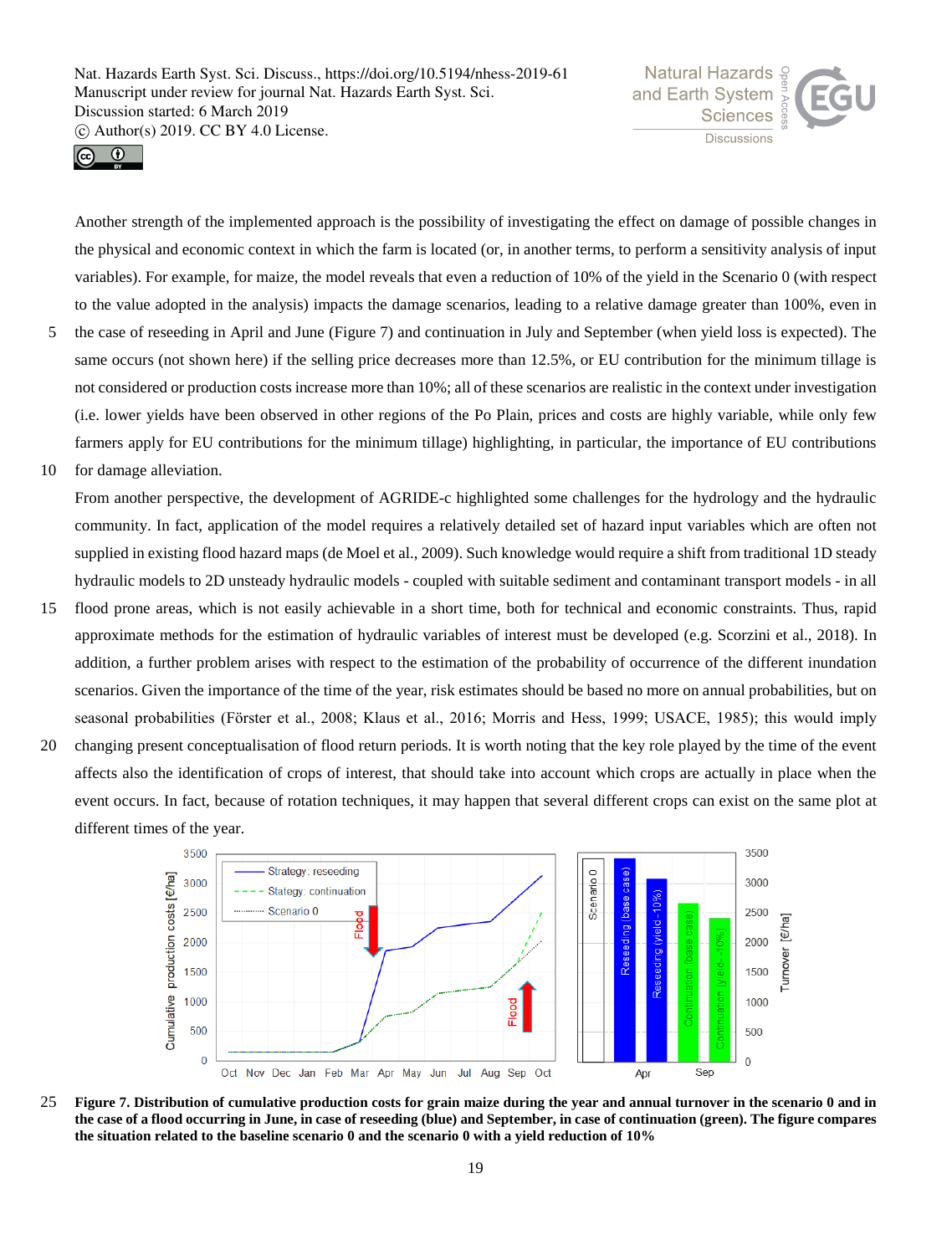



Another strength of the implemented approach is the possibility of investigating the effect on damage of possible changes in the physical and economic context in which the farm is located (or, in another terms, to perform a sensitivity analysis of input variables). For example, for maize, the model reveals that even a reduction of 10% of the yield in the Scenario 0 (with respect to the value adopted in the analysis) impacts the damage scenarios, leading to a relative damage greater than 100%, even in

- 5 the case of reseeding in April and June (Figure 7) and continuation in July and September (when yield loss is expected). The same occurs (not shown here) if the selling price decreases more than 12.5%, or EU contribution for the minimum tillage is not considered or production costs increase more than 10%; all of these scenarios are realistic in the context under investigation (i.e. lower yields have been observed in other regions of the Po Plain, prices and costs are highly variable, while only few farmers apply for EU contributions for the minimum tillage) highlighting, in particular, the importance of EU contributions
- 10 for damage alleviation.

From another perspective, the development of AGRIDE-c highlighted some challenges for the hydrology and the hydraulic community. In fact, application of the model requires a relatively detailed set of hazard input variables which are often not supplied in existing flood hazard maps (de Moel et al., 2009). Such knowledge would require a shift from traditional 1D steady hydraulic models to 2D unsteady hydraulic models - coupled with suitable sediment and contaminant transport models - in all

- 15 flood prone areas, which is not easily achievable in a short time, both for technical and economic constraints. Thus, rapid approximate methods for the estimation of hydraulic variables of interest must be developed (e.g. Scorzini et al., 2018). In addition, a further problem arises with respect to the estimation of the probability of occurrence of the different inundation scenarios. Given the importance of the time of the year, risk estimates should be based no more on annual probabilities, but on seasonal probabilities (Förster et al., 2008; Klaus et al., 2016; Morris and Hess, 1999; USACE, 1985); this would imply
- 20 changing present conceptualisation of flood return periods. It is worth noting that the key role played by the time of the event affects also the identification of crops of interest, that should take into account which crops are actually in place when the event occurs. In fact, because of rotation techniques, it may happen that several different crops can exist on the same plot at different times of the year.



25 **Figure 7. Distribution of cumulative production costs for grain maize during the year and annual turnover in the scenario 0 and in the case of a flood occurring in June, in case of reseeding (blue) and September, in case of continuation (green). The figure compares the situation related to the baseline scenario 0 and the scenario 0 with a yield reduction of 10%**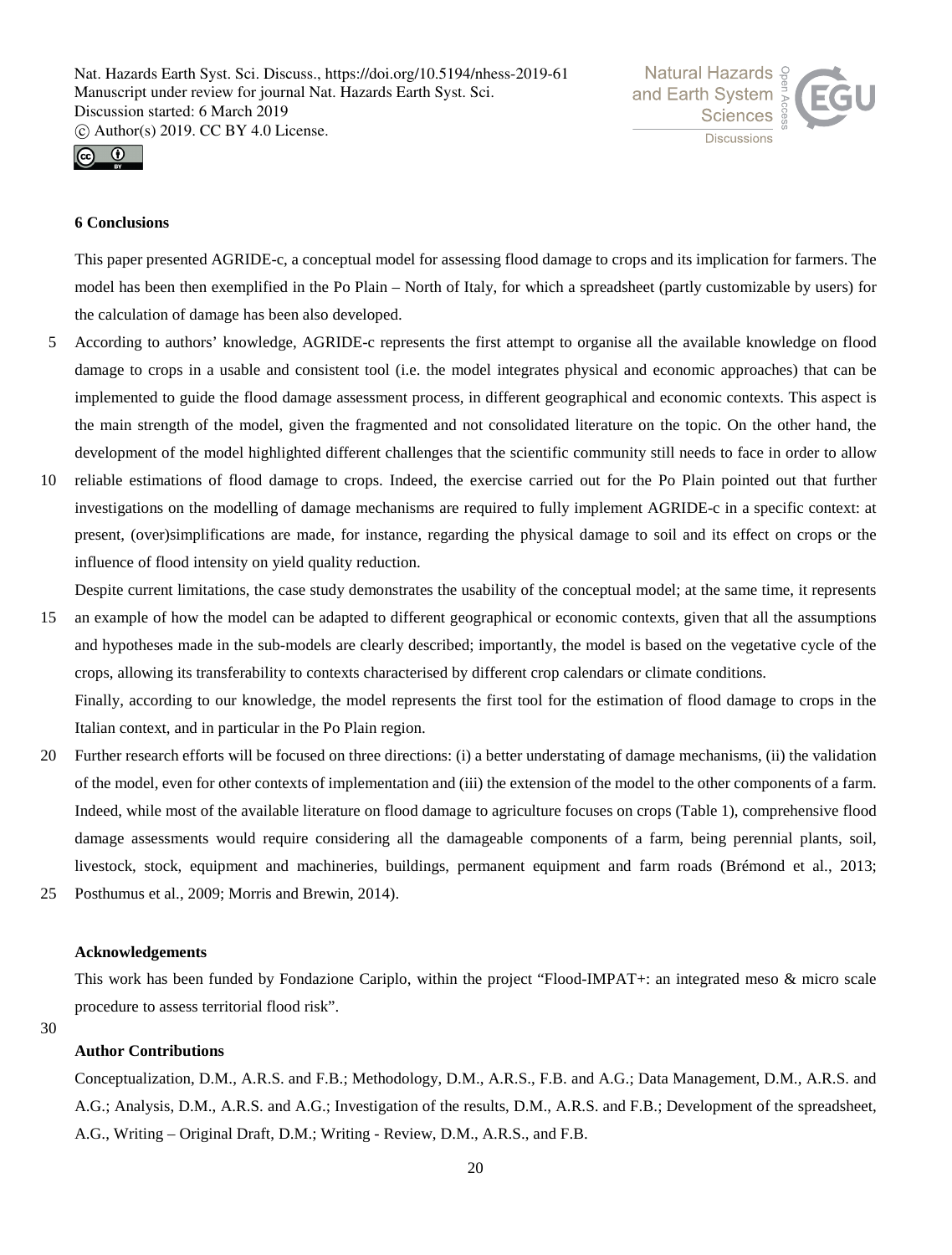



# **6 Conclusions**

This paper presented AGRIDE-c, a conceptual model for assessing flood damage to crops and its implication for farmers. The model has been then exemplified in the Po Plain – North of Italy, for which a spreadsheet (partly customizable by users) for the calculation of damage has been also developed.

- 5 According to authors' knowledge, AGRIDE-c represents the first attempt to organise all the available knowledge on flood damage to crops in a usable and consistent tool (i.e. the model integrates physical and economic approaches) that can be implemented to guide the flood damage assessment process, in different geographical and economic contexts. This aspect is the main strength of the model, given the fragmented and not consolidated literature on the topic. On the other hand, the development of the model highlighted different challenges that the scientific community still needs to face in order to allow
- 10 reliable estimations of flood damage to crops. Indeed, the exercise carried out for the Po Plain pointed out that further investigations on the modelling of damage mechanisms are required to fully implement AGRIDE-c in a specific context: at present, (over)simplifications are made, for instance, regarding the physical damage to soil and its effect on crops or the influence of flood intensity on yield quality reduction.

Despite current limitations, the case study demonstrates the usability of the conceptual model; at the same time, it represents

- 15 an example of how the model can be adapted to different geographical or economic contexts, given that all the assumptions and hypotheses made in the sub-models are clearly described; importantly, the model is based on the vegetative cycle of the crops, allowing its transferability to contexts characterised by different crop calendars or climate conditions. Finally, according to our knowledge, the model represents the first tool for the estimation of flood damage to crops in the Italian context, and in particular in the Po Plain region.
- 20 Further research efforts will be focused on three directions: (i) a better understating of damage mechanisms, (ii) the validation of the model, even for other contexts of implementation and (iii) the extension of the model to the other components of a farm. Indeed, while most of the available literature on flood damage to agriculture focuses on crops (Table 1), comprehensive flood damage assessments would require considering all the damageable components of a farm, being perennial plants, soil, livestock, stock, equipment and machineries, buildings, permanent equipment and farm roads (Brémond et al., 2013;
- 25 Posthumus et al., 2009; Morris and Brewin, 2014).

## **Acknowledgements**

This work has been funded by Fondazione Cariplo, within the project "Flood-IMPAT+: an integrated meso & micro scale procedure to assess territorial flood risk".

## 30

# **Author Contributions**

Conceptualization, D.M., A.R.S. and F.B.; Methodology, D.M., A.R.S., F.B. and A.G.; Data Management, D.M., A.R.S. and A.G.; Analysis, D.M., A.R.S. and A.G.; Investigation of the results, D.M., A.R.S. and F.B.; Development of the spreadsheet, A.G., Writing – Original Draft, D.M.; Writing - Review, D.M., A.R.S., and F.B.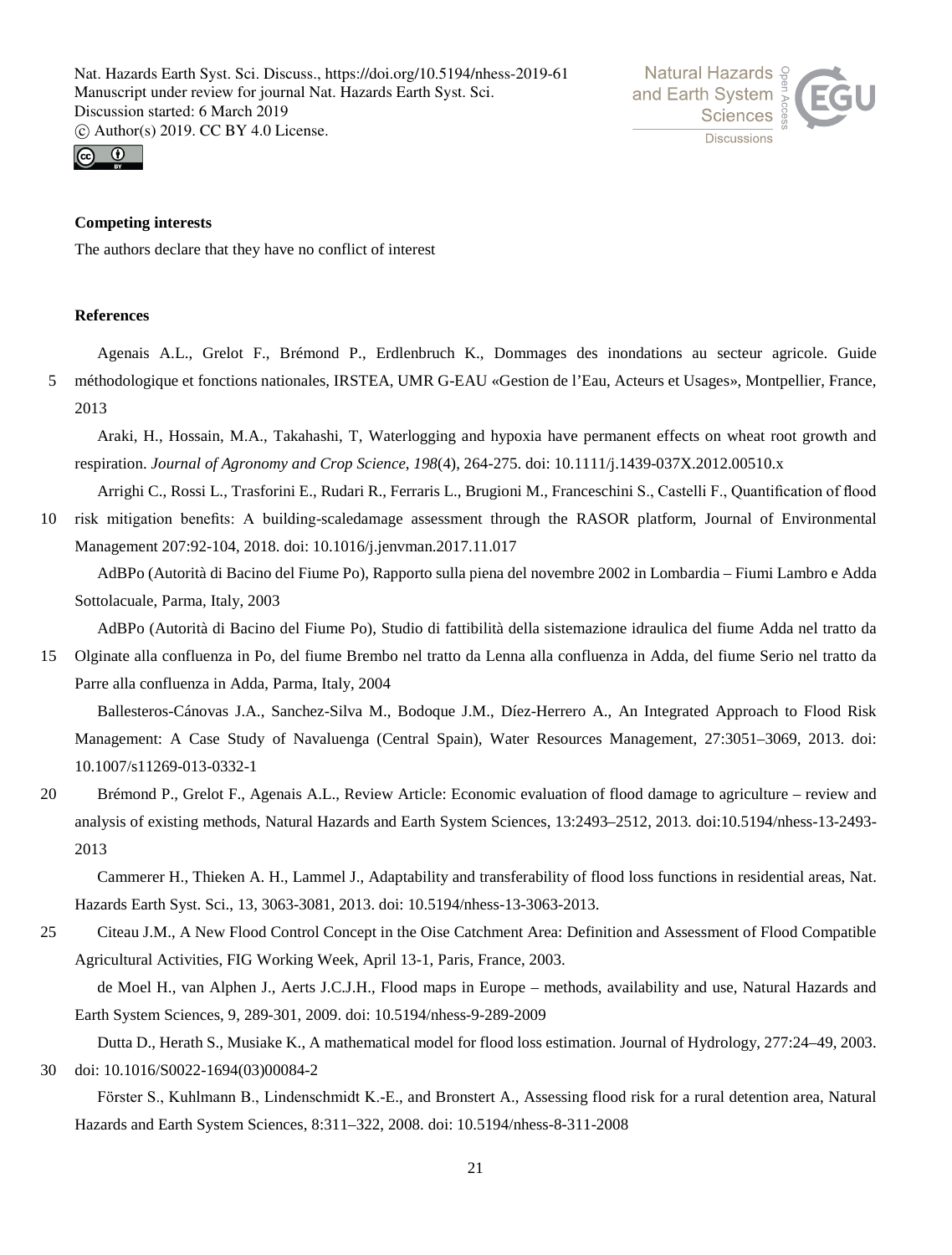



# **Competing interests**

The authors declare that they have no conflict of interest

# **References**

Agenais A.L., Grelot F., Brémond P., Erdlenbruch K., Dommages des inondations au secteur agricole. Guide 5 méthodologique et fonctions nationales, IRSTEA, UMR G-EAU «Gestion de l'Eau, Acteurs et Usages», Montpellier, France, 2013

Araki, H., Hossain, M.A., Takahashi, T, Waterlogging and hypoxia have permanent effects on wheat root growth and respiration. *Journal of Agronomy and Crop Science*, *198*(4), 264-275. doi: 10.1111/j.1439-037X.2012.00510.x

Arrighi C., Rossi L., Trasforini E., Rudari R., Ferraris L., Brugioni M., Franceschini S., Castelli F., Quantification of flood 10 risk mitigation benefits: A building-scaledamage assessment through the RASOR platform, Journal of Environmental Management 207:92-104, 2018. doi: 10.1016/j.jenvman.2017.11.017

AdBPo (Autorità di Bacino del Fiume Po), Rapporto sulla piena del novembre 2002 in Lombardia – Fiumi Lambro e Adda Sottolacuale, Parma, Italy, 2003

AdBPo (Autorità di Bacino del Fiume Po), Studio di fattibilità della sistemazione idraulica del fiume Adda nel tratto da

15 Olginate alla confluenza in Po, del fiume Brembo nel tratto da Lenna alla confluenza in Adda, del fiume Serio nel tratto da Parre alla confluenza in Adda, Parma, Italy, 2004

Ballesteros-Cánovas J.A., Sanchez-Silva M., Bodoque J.M., Díez-Herrero A., An Integrated Approach to Flood Risk Management: A Case Study of Navaluenga (Central Spain), Water Resources Management, 27:3051–3069, 2013. doi: 10.1007/s11269-013-0332-1

20 Brémond P., Grelot F., Agenais A.L., Review Article: Economic evaluation of flood damage to agriculture – review and analysis of existing methods, Natural Hazards and Earth System Sciences, 13:2493–2512, 2013. doi:10.5194/nhess-13-2493- 2013

Cammerer H., Thieken A. H., Lammel J., Adaptability and transferability of flood loss functions in residential areas, Nat. Hazards Earth Syst. Sci., 13, 3063-3081, 2013. doi: 10.5194/nhess-13-3063-2013.

25 Citeau J.M., A New Flood Control Concept in the Oise Catchment Area: Definition and Assessment of Flood Compatible Agricultural Activities, FIG Working Week, April 13-1, Paris, France, 2003.

de Moel H., van Alphen J., Aerts J.C.J.H., Flood maps in Europe – methods, availability and use, Natural Hazards and Earth System Sciences, 9, 289-301, 2009. doi: 10.5194/nhess-9-289-2009

Dutta D., Herath S., Musiake K., A mathematical model for flood loss estimation. Journal of Hydrology, 277:24–49, 2003. 30 doi: 10.1016/S0022-1694(03)00084-2

Fӧrster S., Kuhlmann B., Lindenschmidt K.-E., and Bronstert A., Assessing flood risk for a rural detention area, Natural Hazards and Earth System Sciences, 8:311–322, 2008. doi: 10.5194/nhess-8-311-2008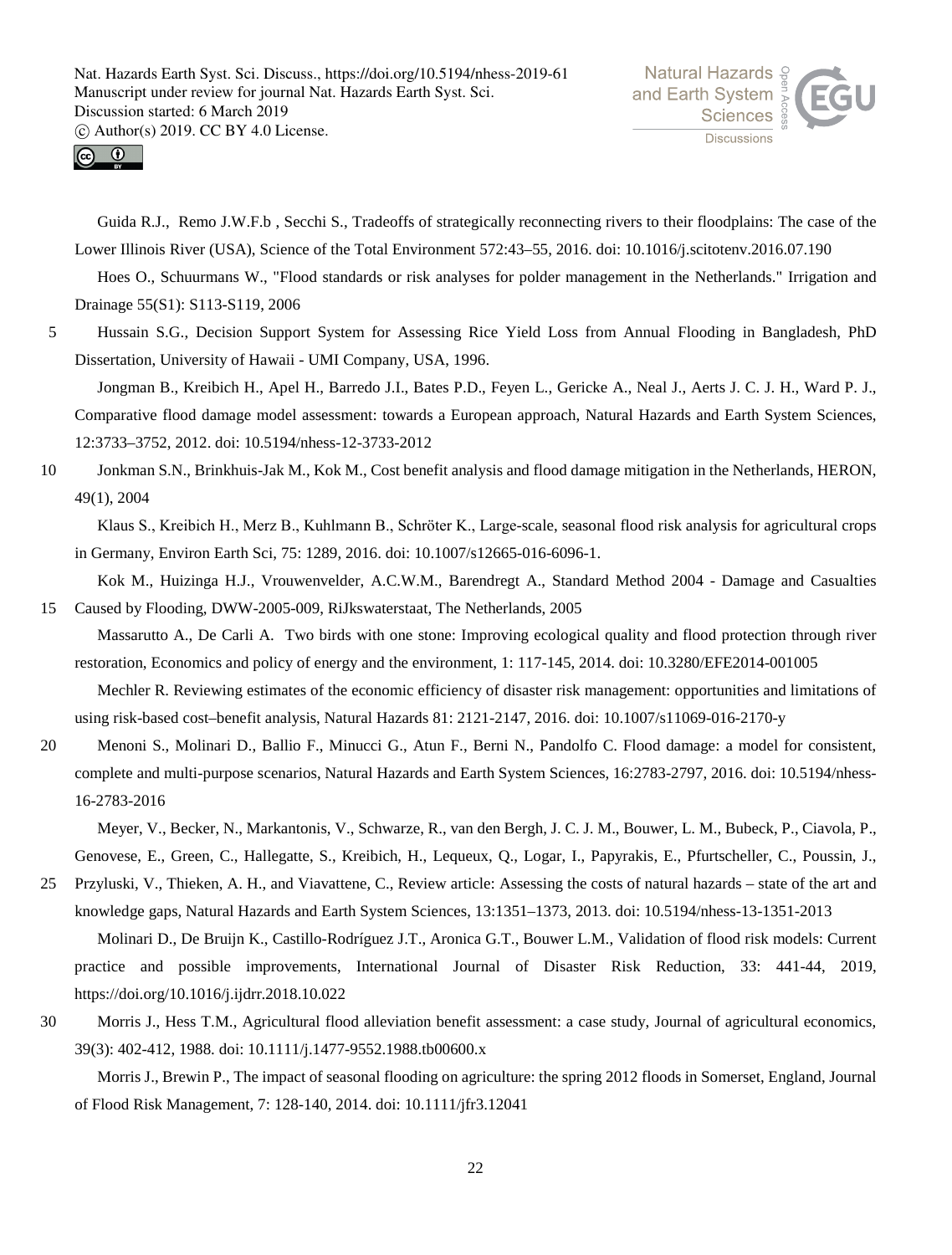



Guida R.J., Remo J.W.F.b , Secchi S., Tradeoffs of strategically reconnecting rivers to their floodplains: The case of the Lower Illinois River (USA), Science of the Total Environment 572:43–55, 2016. doi: 10.1016/j.scitotenv.2016.07.190

Hoes O., Schuurmans W., "Flood standards or risk analyses for polder management in the Netherlands." Irrigation and Drainage 55(S1): S113-S119, 2006

5 Hussain S.G., Decision Support System for Assessing Rice Yield Loss from Annual Flooding in Bangladesh, PhD Dissertation, University of Hawaii - UMI Company, USA, 1996.

Jongman B., Kreibich H., Apel H., Barredo J.I., Bates P.D., Feyen L., Gericke A., Neal J., Aerts J. C. J. H., Ward P. J., Comparative flood damage model assessment: towards a European approach, Natural Hazards and Earth System Sciences, 12:3733–3752, 2012. doi: 10.5194/nhess-12-3733-2012

10 Jonkman S.N., Brinkhuis-Jak M., Kok M., Cost benefit analysis and flood damage mitigation in the Netherlands, HERON, 49(1), 2004

Klaus S., Kreibich H., Merz B., Kuhlmann B., Schröter K., Large-scale, seasonal flood risk analysis for agricultural crops in Germany, Environ Earth Sci, 75: 1289, 2016. doi: 10.1007/s12665-016-6096-1.

- Kok M., Huizinga H.J., Vrouwenvelder, A.C.W.M., Barendregt A., Standard Method 2004 Damage and Casualties 15 Caused by Flooding, DWW-2005-009, RiJkswaterstaat, The Netherlands, 2005
	- Massarutto A., De Carli A. Two birds with one stone: Improving ecological quality and flood protection through river restoration, Economics and policy of energy and the environment, 1: 117-145, 2014. doi: 10.3280/EFE2014-001005

Mechler R. Reviewing estimates of the economic efficiency of disaster risk management: opportunities and limitations of using risk-based cost–benefit analysis, Natural Hazards 81: 2121-2147, 2016. doi: 10.1007/s11069-016-2170-y

20 Menoni S., Molinari D., Ballio F., Minucci G., Atun F., Berni N., Pandolfo C. Flood damage: a model for consistent, complete and multi-purpose scenarios, Natural Hazards and Earth System Sciences, 16:2783-2797, 2016. doi: 10.5194/nhess-16-2783-2016

Meyer, V., Becker, N., Markantonis, V., Schwarze, R., van den Bergh, J. C. J. M., Bouwer, L. M., Bubeck, P., Ciavola, P., Genovese, E., Green, C., Hallegatte, S., Kreibich, H., Lequeux, Q., Logar, I., Papyrakis, E., Pfurtscheller, C., Poussin, J.,

25 Przyluski, V., Thieken, A. H., and Viavattene, C., Review article: Assessing the costs of natural hazards – state of the art and knowledge gaps, Natural Hazards and Earth System Sciences, 13:1351–1373, 2013. doi: 10.5194/nhess-13-1351-2013 Molinari D., De Bruijn K., Castillo-Rodríguez J.T., Aronica G.T., Bouwer L.M., Validation of flood risk models: Current

practice and possible improvements, International Journal of Disaster Risk Reduction, 33: 441-44, 2019, https://doi.org/10.1016/j.ijdrr.2018.10.022

30 Morris J., Hess T.M., Agricultural flood alleviation benefit assessment: a case study, Journal of agricultural economics, 39(3): 402-412, 1988. doi: 10.1111/j.1477-9552.1988.tb00600.x

Morris J., Brewin P., The impact of seasonal flooding on agriculture: the spring 2012 floods in Somerset, England, Journal of Flood Risk Management, 7: 128-140, 2014. doi: 10.1111/jfr3.12041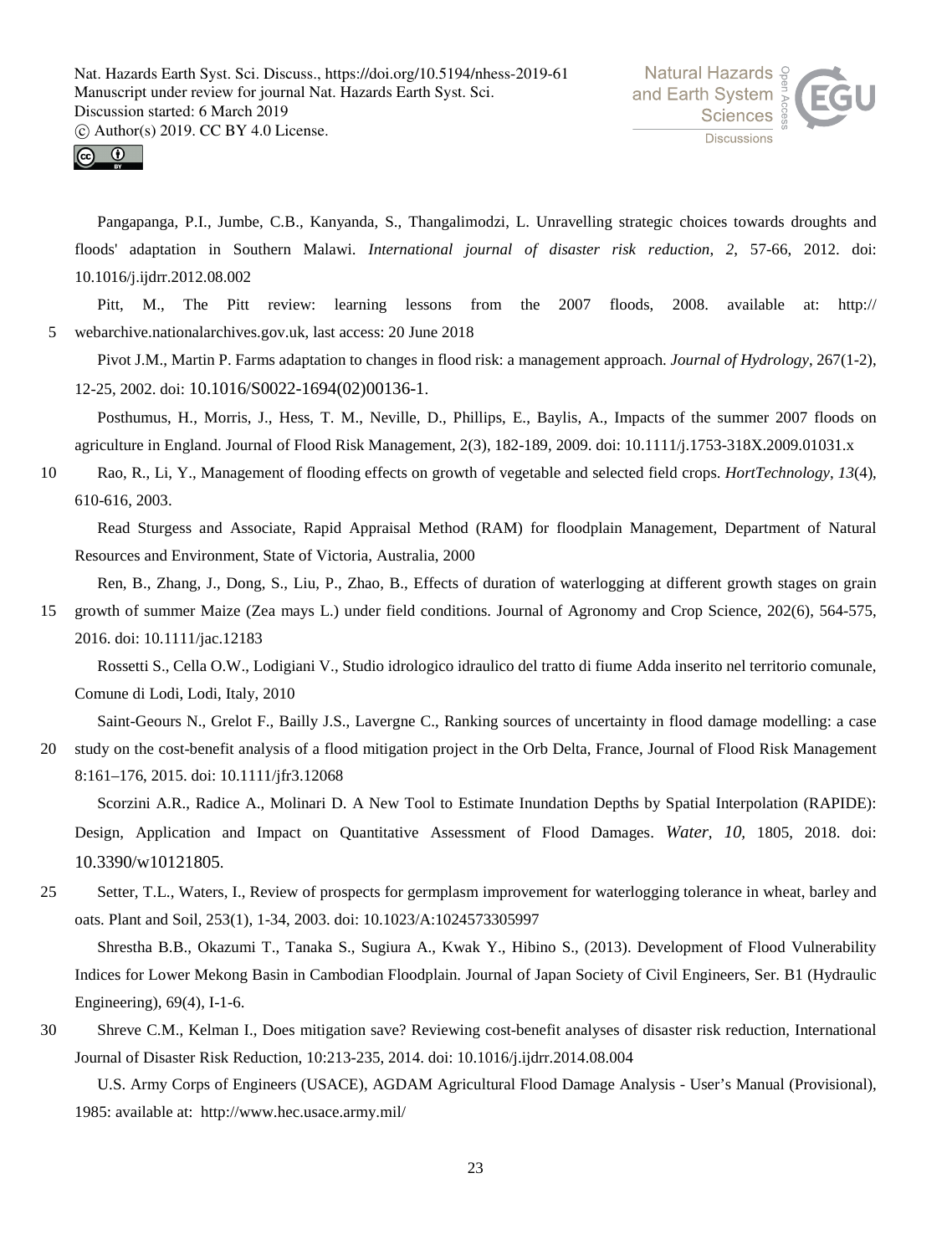



Pangapanga, P.I., Jumbe, C.B., Kanyanda, S., Thangalimodzi, L. Unravelling strategic choices towards droughts and floods' adaptation in Southern Malawi. *International journal of disaster risk reduction*, *2*, 57-66, 2012. doi: 10.1016/j.ijdrr.2012.08.002

Pitt, M., The Pitt review: learning lessons from the 2007 floods, 2008. available at: http:// 5 webarchive.nationalarchives.gov.uk, last access: 20 June 2018

Pivot J.M., Martin P. Farms adaptation to changes in flood risk: a management approach. *Journal of Hydrology*, 267(1-2), 12-25, 2002. doi: 10.1016/S0022-1694(02)00136-1.

Posthumus, H., Morris, J., Hess, T. M., Neville, D., Phillips, E., Baylis, A., Impacts of the summer 2007 floods on agriculture in England. Journal of Flood Risk Management, 2(3), 182-189, 2009. doi: 10.1111/j.1753-318X.2009.01031.x

10 Rao, R., Li, Y., Management of flooding effects on growth of vegetable and selected field crops. *HortTechnology*, *13*(4), 610-616, 2003.

Read Sturgess and Associate, Rapid Appraisal Method (RAM) for floodplain Management, Department of Natural Resources and Environment, State of Victoria, Australia, 2000

Ren, B., Zhang, J., Dong, S., Liu, P., Zhao, B., Effects of duration of waterlogging at different growth stages on grain

15 growth of summer Maize (Zea mays L.) under field conditions. Journal of Agronomy and Crop Science, 202(6), 564-575, 2016. doi: 10.1111/jac.12183

Rossetti S., Cella O.W., Lodigiani V., Studio idrologico idraulico del tratto di fiume Adda inserito nel territorio comunale, Comune di Lodi, Lodi, Italy, 2010

Saint-Geours N., Grelot F., Bailly J.S., Lavergne C., Ranking sources of uncertainty in flood damage modelling: a case 20 study on the cost-benefit analysis of a flood mitigation project in the Orb Delta, France, Journal of Flood Risk Management 8:161–176, 2015. doi: 10.1111/jfr3.12068

Scorzini A.R., Radice A., Molinari D. A New Tool to Estimate Inundation Depths by Spatial Interpolation (RAPIDE): Design, Application and Impact on Quantitative Assessment of Flood Damages. *Water*, *10,* 1805, 2018. doi: 10.3390/w10121805.

25 Setter, T.L., Waters, I., Review of prospects for germplasm improvement for waterlogging tolerance in wheat, barley and oats. Plant and Soil, 253(1), 1-34, 2003. doi: 10.1023/A:1024573305997

Shrestha B.B., Okazumi T., Tanaka S., Sugiura A., Kwak Y., Hibino S., (2013). Development of Flood Vulnerability Indices for Lower Mekong Basin in Cambodian Floodplain. Journal of Japan Society of Civil Engineers, Ser. B1 (Hydraulic Engineering), 69(4), I-1-6.

30 Shreve C.M., Kelman I., Does mitigation save? Reviewing cost-benefit analyses of disaster risk reduction, International Journal of Disaster Risk Reduction, 10:213-235, 2014. doi: 10.1016/j.ijdrr.2014.08.004

U.S. Army Corps of Engineers (USACE), AGDAM Agricultural Flood Damage Analysis - User's Manual (Provisional), 1985: available at: http://www.hec.usace.army.mil/